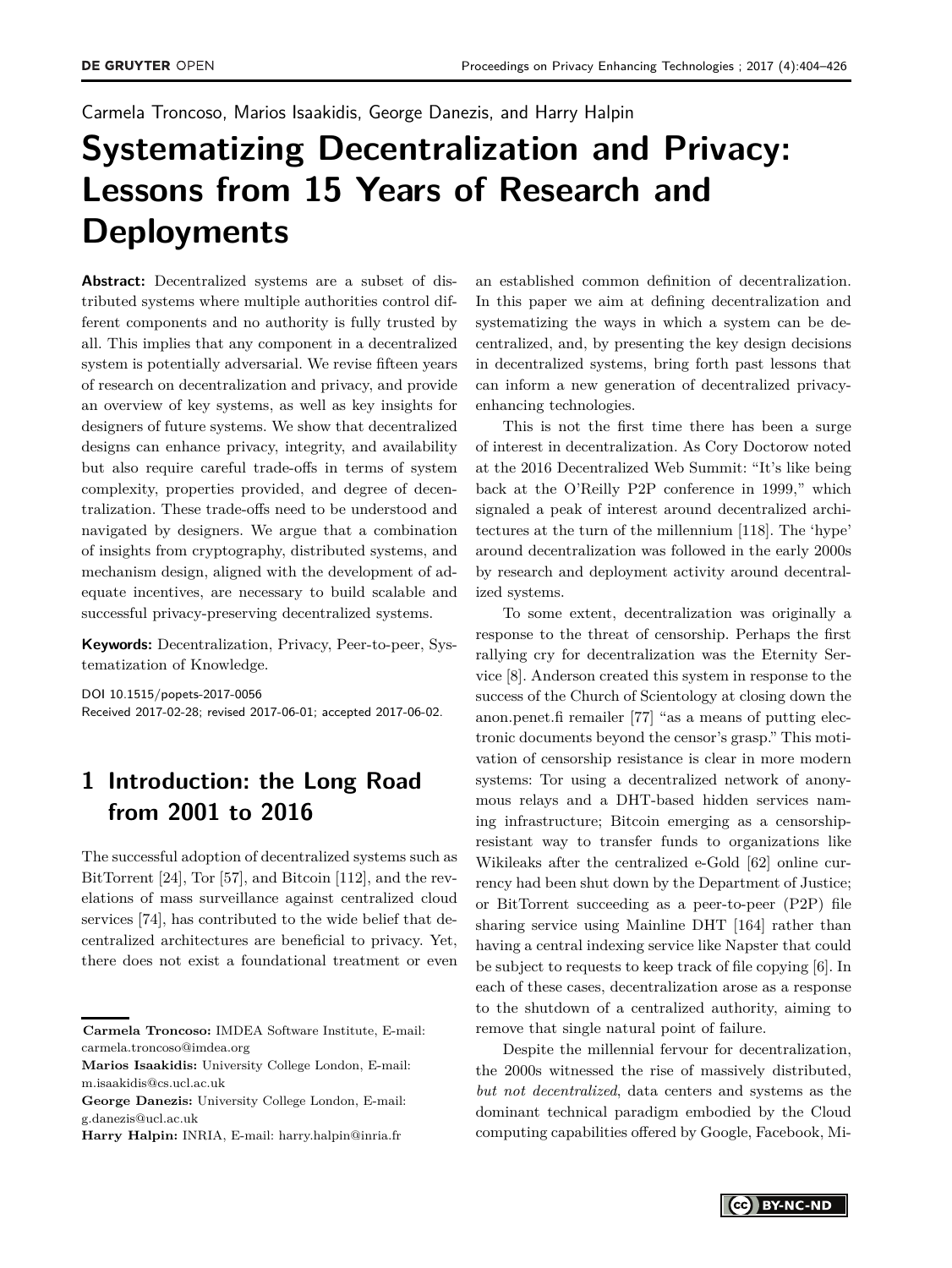Carmela Troncoso, Marios Isaakidis, George Danezis, and Harry Halpin

# **Systematizing Decentralization and Privacy: Lessons from 15 Years of Research and Deployments**

**Abstract:** Decentralized systems are a subset of distributed systems where multiple authorities control different components and no authority is fully trusted by all. This implies that any component in a decentralized system is potentially adversarial. We revise fifteen years of research on decentralization and privacy, and provide an overview of key systems, as well as key insights for designers of future systems. We show that decentralized designs can enhance privacy, integrity, and availability but also require careful trade-offs in terms of system complexity, properties provided, and degree of decentralization. These trade-offs need to be understood and navigated by designers. We argue that a combination of insights from cryptography, distributed systems, and mechanism design, aligned with the development of adequate incentives, are necessary to build scalable and successful privacy-preserving decentralized systems.

**Keywords:** Decentralization, Privacy, Peer-to-peer, Systematization of Knowledge.

DOI 10.1515/popets-2017-0056 Received 2017-02-28; revised 2017-06-01; accepted 2017-06-02.

# **1 Introduction: the Long Road from 2001 to 2016**

The successful adoption of decentralized systems such as BitTorrent [\[24\]](#page-18-0), Tor [\[57\]](#page-19-0), and Bitcoin [\[112\]](#page-20-0), and the revelations of mass surveillance against centralized cloud services [\[74\]](#page-19-1), has contributed to the wide belief that decentralized architectures are beneficial to privacy. Yet, there does not exist a foundational treatment or even

an established common definition of decentralization. In this paper we aim at defining decentralization and systematizing the ways in which a system can be decentralized, and, by presenting the key design decisions in decentralized systems, bring forth past lessons that can inform a new generation of decentralized privacyenhancing technologies.

This is not the first time there has been a surge of interest in decentralization. As Cory Doctorow noted at the 2016 Decentralized Web Summit: "It's like being back at the O'Reilly P2P conference in 1999," which signaled a peak of interest around decentralized architectures at the turn of the millennium [\[118\]](#page-20-1). The 'hype' around decentralization was followed in the early 2000s by research and deployment activity around decentralized systems.

To some extent, decentralization was originally a response to the threat of censorship. Perhaps the first rallying cry for decentralization was the Eternity Service [\[8\]](#page-17-0). Anderson created this system in response to the success of the Church of Scientology at closing down the anon.penet.fi remailer [\[77\]](#page-19-2) "as a means of putting electronic documents beyond the censor's grasp." This motivation of censorship resistance is clear in more modern systems: Tor using a decentralized network of anonymous relays and a DHT-based hidden services naming infrastructure; Bitcoin emerging as a censorshipresistant way to transfer funds to organizations like Wikileaks after the centralized e-Gold [\[62\]](#page-19-3) online currency had been shut down by the Department of Justice; or BitTorrent succeeding as a peer-to-peer (P2P) file sharing service using Mainline DHT [\[164\]](#page-22-1) rather than having a central indexing service like Napster that could be subject to requests to keep track of file copying [\[6\]](#page-17-1). In each of these cases, decentralization arose as a response to the shutdown of a centralized authority, aiming to remove that single natural point of failure.

Despite the millennial fervour for decentralization, the 2000s witnessed the rise of massively distributed, *but not decentralized*, data centers and systems as the dominant technical paradigm embodied by the Cloud computing capabilities offered by Google, Facebook, Mi-

**Carmela Troncoso:** IMDEA Software Institute, E-mail: carmela.troncoso@imdea.org

**Marios Isaakidis:** University College London, E-mail: m.isaakidis@cs.ucl.ac.uk

**George Danezis:** University College London, E-mail: g.danezis@ucl.ac.uk

**Harry Halpin:** INRIA, E-mail: harry.halpin@inria.fr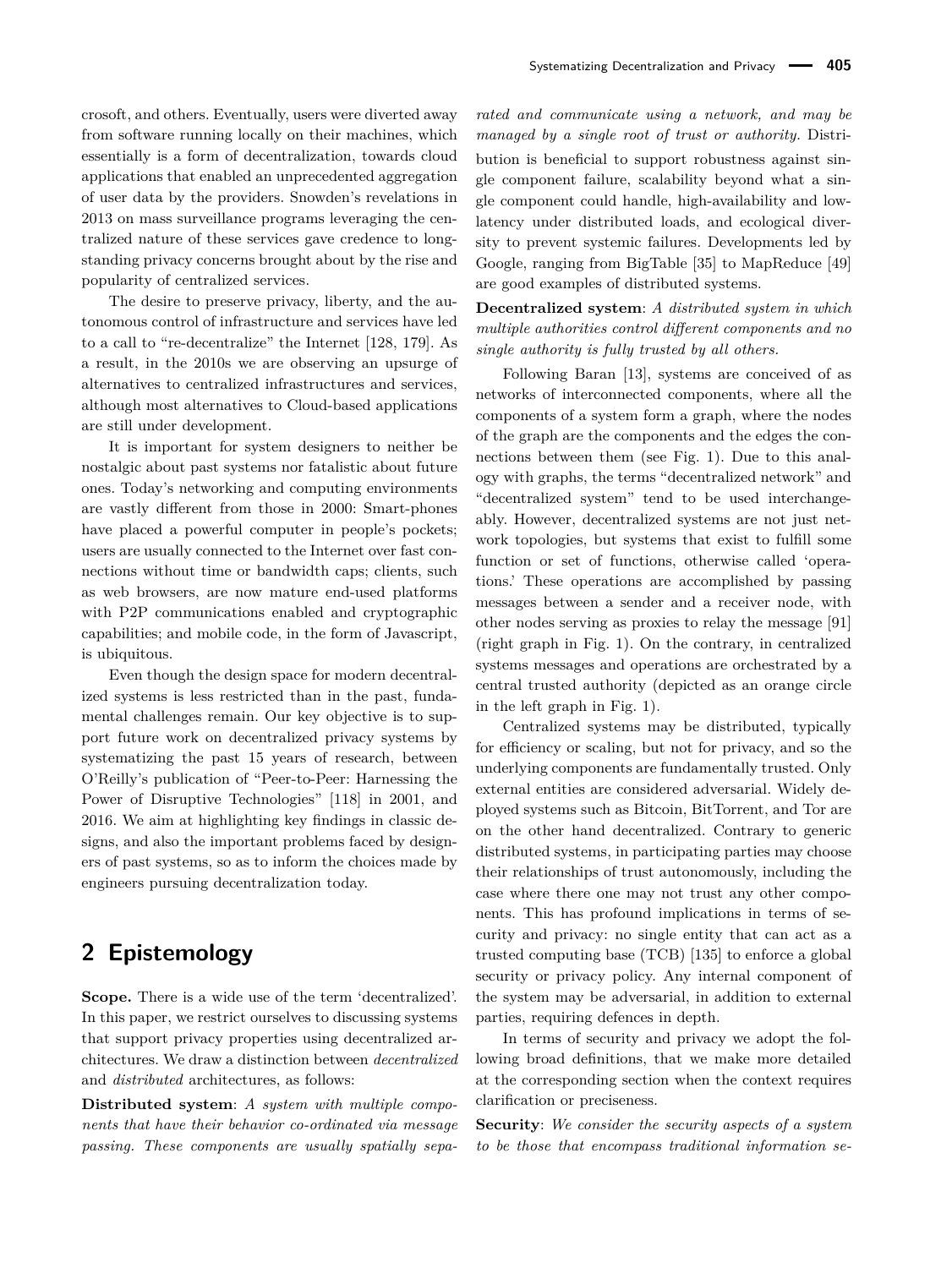crosoft, and others. Eventually, users were diverted away from software running locally on their machines, which essentially is a form of decentralization, towards cloud applications that enabled an unprecedented aggregation of user data by the providers. Snowden's revelations in 2013 on mass surveillance programs leveraging the centralized nature of these services gave credence to longstanding privacy concerns brought about by the rise and popularity of centralized services.

The desire to preserve privacy, liberty, and the autonomous control of infrastructure and services have led to a call to "re-decentralize" the Internet [\[128,](#page-21-0) [179\]](#page-22-2). As a result, in the 2010s we are observing an upsurge of alternatives to centralized infrastructures and services, although most alternatives to Cloud-based applications are still under development.

It is important for system designers to neither be nostalgic about past systems nor fatalistic about future ones. Today's networking and computing environments are vastly different from those in 2000: Smart-phones have placed a powerful computer in people's pockets; users are usually connected to the Internet over fast connections without time or bandwidth caps; clients, such as web browsers, are now mature end-used platforms with P2P communications enabled and cryptographic capabilities; and mobile code, in the form of Javascript, is ubiquitous.

Even though the design space for modern decentralized systems is less restricted than in the past, fundamental challenges remain. Our key objective is to support future work on decentralized privacy systems by systematizing the past 15 years of research, between O'Reilly's publication of "Peer-to-Peer: Harnessing the Power of Disruptive Technologies" [\[118\]](#page-20-1) in 2001, and 2016. We aim at highlighting key findings in classic designs, and also the important problems faced by designers of past systems, so as to inform the choices made by engineers pursuing decentralization today.

# **2 Epistemology**

**Scope.** There is a wide use of the term 'decentralized'. In this paper, we restrict ourselves to discussing systems that support privacy properties using decentralized architectures. We draw a distinction between *decentralized* and *distributed* architectures, as follows:

**Distributed system**: *A system with multiple components that have their behavior co-ordinated via message passing. These components are usually spatially sepa-* *rated and communicate using a network, and may be managed by a single root of trust or authority.* Distribution is beneficial to support robustness against single component failure, scalability beyond what a single component could handle, high-availability and lowlatency under distributed loads, and ecological diversity to prevent systemic failures. Developments led by Google, ranging from BigTable [\[35\]](#page-18-1) to MapReduce [\[49\]](#page-18-2) are good examples of distributed systems.

**Decentralized system**: *A distributed system in which multiple authorities control different components and no single authority is fully trusted by all others.*

Following Baran [\[13\]](#page-17-2), systems are conceived of as networks of interconnected components, where all the components of a system form a graph, where the nodes of the graph are the components and the edges the connections between them (see Fig. [1\)](#page-2-0). Due to this analogy with graphs, the terms "decentralized network" and "decentralized system" tend to be used interchangeably. However, decentralized systems are not just network topologies, but systems that exist to fulfill some function or set of functions, otherwise called 'operations.' These operations are accomplished by passing messages between a sender and a receiver node, with other nodes serving as proxies to relay the message [\[91\]](#page-20-2) (right graph in Fig. [1\)](#page-2-0). On the contrary, in centralized systems messages and operations are orchestrated by a central trusted authority (depicted as an orange circle in the left graph in Fig. [1\)](#page-2-0).

Centralized systems may be distributed, typically for efficiency or scaling, but not for privacy, and so the underlying components are fundamentally trusted. Only external entities are considered adversarial. Widely deployed systems such as Bitcoin, BitTorrent, and Tor are on the other hand decentralized. Contrary to generic distributed systems, in participating parties may choose their relationships of trust autonomously, including the case where there one may not trust any other components. This has profound implications in terms of security and privacy: no single entity that can act as a trusted computing base (TCB) [\[135\]](#page-21-1) to enforce a global security or privacy policy. Any internal component of the system may be adversarial, in addition to external parties, requiring defences in depth.

In terms of security and privacy we adopt the following broad definitions, that we make more detailed at the corresponding section when the context requires clarification or preciseness.

**Security**: *We consider the security aspects of a system to be those that encompass traditional information se-*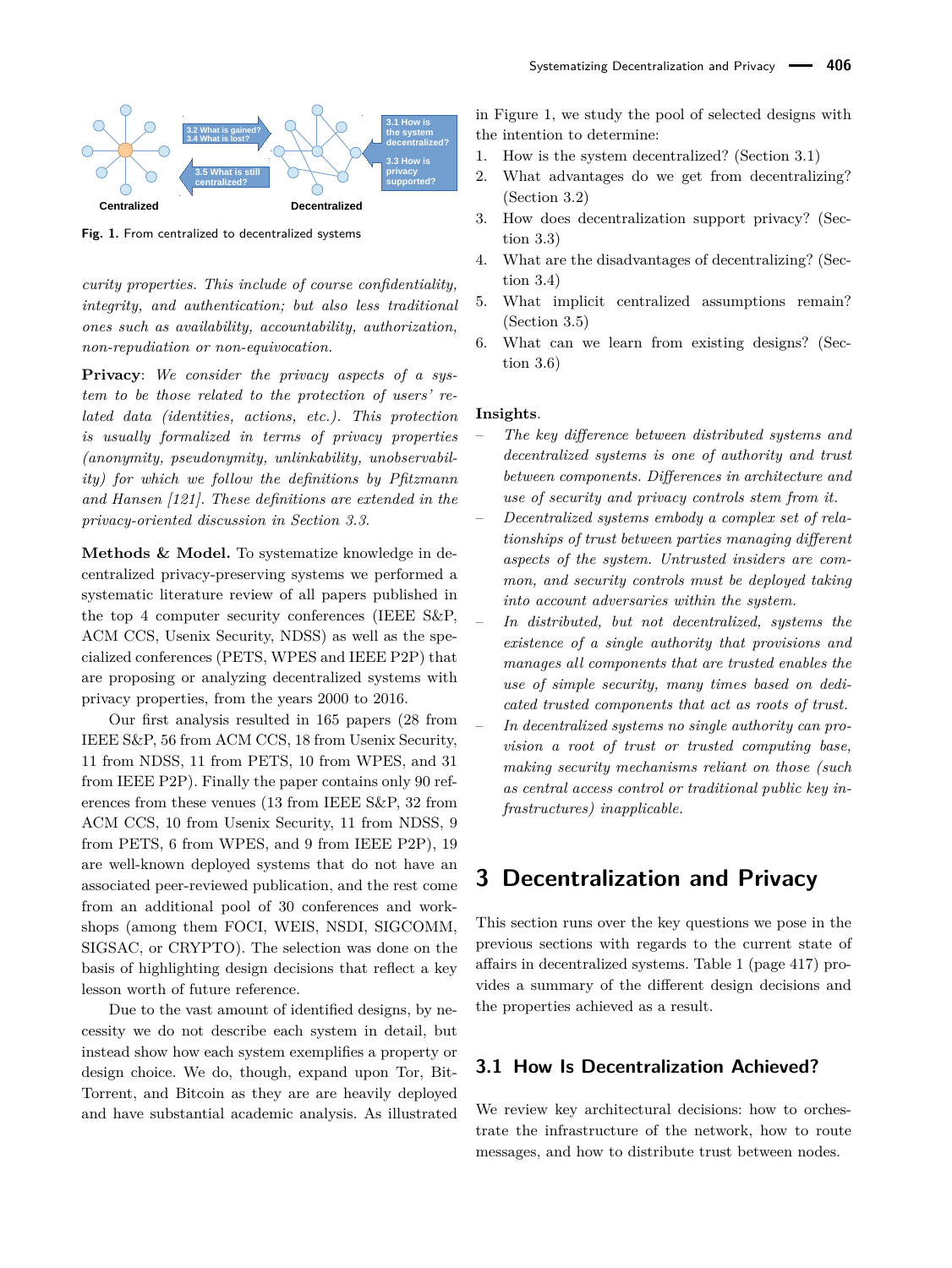<span id="page-2-0"></span>

**Fig. 1.** From centralized to decentralized systems

*curity properties. This include of course confidentiality, integrity, and authentication; but also less traditional ones such as availability, accountability, authorization, non-repudiation or non-equivocation.*

**Privacy**: *We consider the privacy aspects of a system to be those related to the protection of users' related data (identities, actions, etc.). This protection is usually formalized in terms of privacy properties (anonymity, pseudonymity, unlinkability, unobservability) for which we follow the definitions by Pfitzmann and Hansen [\[121\]](#page-20-3). These definitions are extended in the privacy-oriented discussion in Section [3.3](#page-8-0)*.

**Methods & Model.** To systematize knowledge in decentralized privacy-preserving systems we performed a systematic literature review of all papers published in the top 4 computer security conferences (IEEE S&P, ACM CCS, Usenix Security, NDSS) as well as the specialized conferences (PETS, WPES and IEEE P2P) that are proposing or analyzing decentralized systems with privacy properties, from the years 2000 to 2016.

Our first analysis resulted in 165 papers (28 from IEEE S&P, 56 from ACM CCS, 18 from Usenix Security, 11 from NDSS, 11 from PETS, 10 from WPES, and 31 from IEEE P2P). Finally the paper contains only 90 references from these venues (13 from IEEE S&P, 32 from ACM CCS, 10 from Usenix Security, 11 from NDSS, 9 from PETS, 6 from WPES, and 9 from IEEE P2P), 19 are well-known deployed systems that do not have an associated peer-reviewed publication, and the rest come from an additional pool of 30 conferences and workshops (among them FOCI, WEIS, NSDI, SIGCOMM, SIGSAC, or CRYPTO). The selection was done on the basis of highlighting design decisions that reflect a key lesson worth of future reference.

Due to the vast amount of identified designs, by necessity we do not describe each system in detail, but instead show how each system exemplifies a property or design choice. We do, though, expand upon Tor, Bit-Torrent, and Bitcoin as they are are heavily deployed and have substantial academic analysis. As illustrated in Figure [1,](#page-2-0) we study the pool of selected designs with the intention to determine:

- 1. How is the system decentralized? (Section [3.1\)](#page-2-1)
- 2. What advantages do we get from decentralizing? (Section [3.2\)](#page-6-0)
- 3. How does decentralization support privacy? (Section [3.3\)](#page-8-0)
- 4. What are the disadvantages of decentralizing? (Section [3.4\)](#page-9-0)
- 5. What implicit centralized assumptions remain? (Section [3.5\)](#page-10-0)
- 6. What can we learn from existing designs? (Section [3.6\)](#page-12-0)

#### **Insights**.

- *The key difference between distributed systems and decentralized systems is one of authority and trust between components. Differences in architecture and use of security and privacy controls stem from it.*
- *Decentralized systems embody a complex set of relationships of trust between parties managing different aspects of the system. Untrusted insiders are common, and security controls must be deployed taking into account adversaries within the system.*
- *In distributed, but not decentralized, systems the existence of a single authority that provisions and manages all components that are trusted enables the use of simple security, many times based on dedicated trusted components that act as roots of trust.*
- *In decentralized systems no single authority can provision a root of trust or trusted computing base, making security mechanisms reliant on those (such as central access control or traditional public key infrastructures) inapplicable.*

# **3 Decentralization and Privacy**

This section runs over the key questions we pose in the previous sections with regards to the current state of affairs in decentralized systems. Table [1](#page-13-0) (page [417\)](#page-13-0) provides a summary of the different design decisions and the properties achieved as a result.

#### <span id="page-2-1"></span>**3.1 How Is Decentralization Achieved?**

We review key architectural decisions: how to orchestrate the infrastructure of the network, how to route messages, and how to distribute trust between nodes.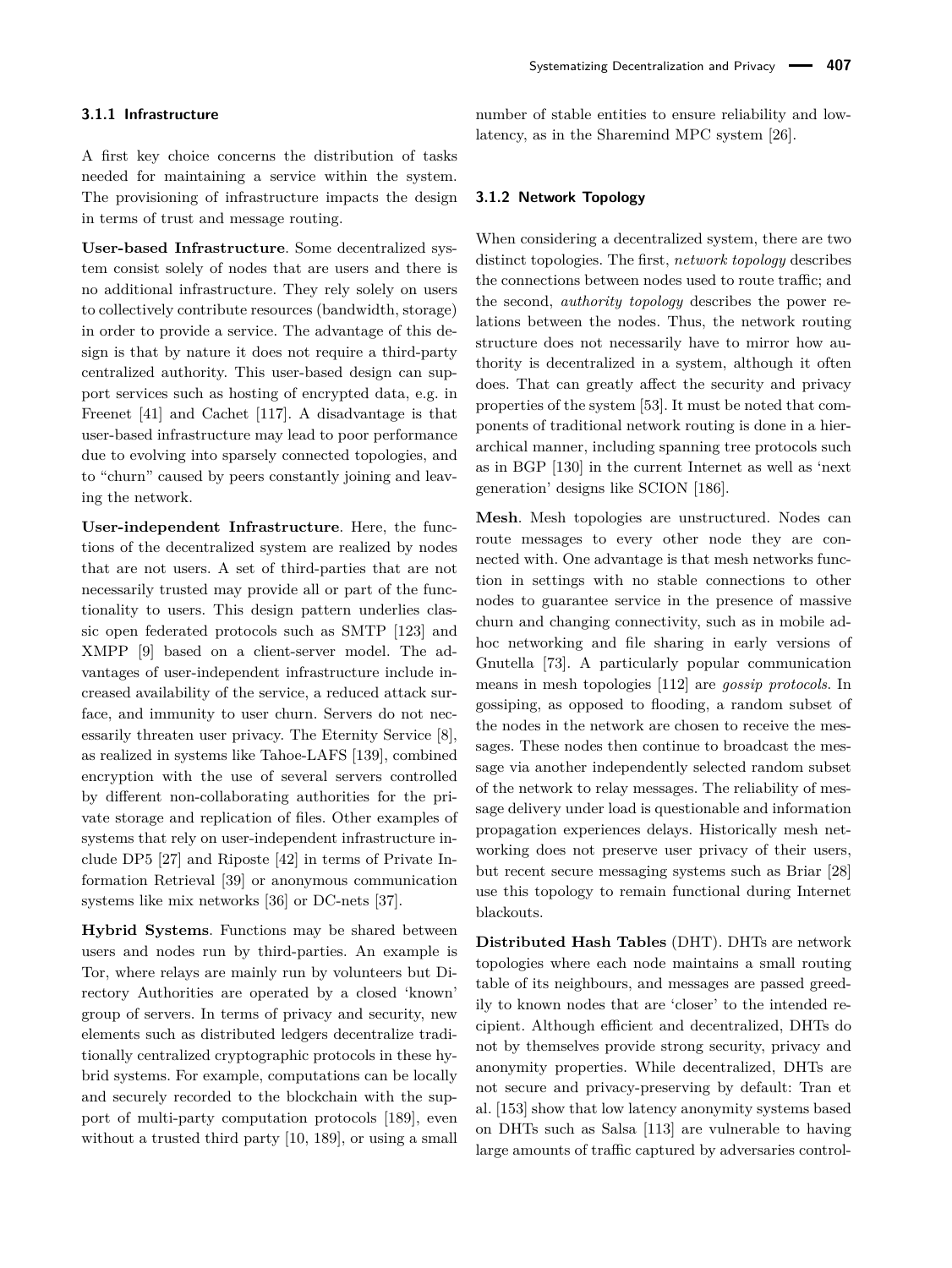A first key choice concerns the distribution of tasks needed for maintaining a service within the system. The provisioning of infrastructure impacts the design in terms of trust and message routing.

**User-based Infrastructure**. Some decentralized system consist solely of nodes that are users and there is no additional infrastructure. They rely solely on users to collectively contribute resources (bandwidth, storage) in order to provide a service. The advantage of this design is that by nature it does not require a third-party centralized authority. This user-based design can support services such as hosting of encrypted data, e.g. in Freenet [\[41\]](#page-18-3) and Cachet [\[117\]](#page-20-4). A disadvantage is that user-based infrastructure may lead to poor performance due to evolving into sparsely connected topologies, and to "churn" caused by peers constantly joining and leaving the network.

**User-independent Infrastructure**. Here, the functions of the decentralized system are realized by nodes that are not users. A set of third-parties that are not necessarily trusted may provide all or part of the functionality to users. This design pattern underlies classic open federated protocols such as SMTP [\[123\]](#page-20-5) and XMPP [\[9\]](#page-17-3) based on a client-server model. The advantages of user-independent infrastructure include increased availability of the service, a reduced attack surface, and immunity to user churn. Servers do not necessarily threaten user privacy. The Eternity Service [\[8\]](#page-17-0), as realized in systems like Tahoe-LAFS [\[139\]](#page-21-2), combined encryption with the use of several servers controlled by different non-collaborating authorities for the private storage and replication of files. Other examples of systems that rely on user-independent infrastructure include DP5 [\[27\]](#page-18-4) and Riposte [\[42\]](#page-18-5) in terms of Private Information Retrieval [\[39\]](#page-18-6) or anonymous communication systems like mix networks [\[36\]](#page-18-7) or DC-nets [\[37\]](#page-18-8).

**Hybrid Systems**. Functions may be shared between users and nodes run by third-parties. An example is Tor, where relays are mainly run by volunteers but Directory Authorities are operated by a closed 'known' group of servers. In terms of privacy and security, new elements such as distributed ledgers decentralize traditionally centralized cryptographic protocols in these hybrid systems. For example, computations can be locally and securely recorded to the blockchain with the support of multi-party computation protocols [\[189\]](#page-22-3), even without a trusted third party [\[10,](#page-17-4) [189\]](#page-22-3), or using a small number of stable entities to ensure reliability and lowlatency, as in the Sharemind MPC system [\[26\]](#page-18-9).

#### <span id="page-3-0"></span>**3.1.2 Network Topology**

When considering a decentralized system, there are two distinct topologies. The first, *network topology* describes the connections between nodes used to route traffic; and the second, *authority topology* describes the power relations between the nodes. Thus, the network routing structure does not necessarily have to mirror how authority is decentralized in a system, although it often does. That can greatly affect the security and privacy properties of the system [\[53\]](#page-19-4). It must be noted that components of traditional network routing is done in a hierarchical manner, including spanning tree protocols such as in BGP [\[130\]](#page-21-3) in the current Internet as well as 'next generation' designs like SCION [\[186\]](#page-22-4).

**Mesh**. Mesh topologies are unstructured. Nodes can route messages to every other node they are connected with. One advantage is that mesh networks function in settings with no stable connections to other nodes to guarantee service in the presence of massive churn and changing connectivity, such as in mobile adhoc networking and file sharing in early versions of Gnutella [\[73\]](#page-19-5). A particularly popular communication means in mesh topologies [\[112\]](#page-20-0) are *gossip protocols*. In gossiping, as opposed to flooding, a random subset of the nodes in the network are chosen to receive the messages. These nodes then continue to broadcast the message via another independently selected random subset of the network to relay messages. The reliability of message delivery under load is questionable and information propagation experiences delays. Historically mesh networking does not preserve user privacy of their users, but recent secure messaging systems such as Briar [\[28\]](#page-18-10) use this topology to remain functional during Internet blackouts.

**Distributed Hash Tables** (DHT). DHTs are network topologies where each node maintains a small routing table of its neighbours, and messages are passed greedily to known nodes that are 'closer' to the intended recipient. Although efficient and decentralized, DHTs do not by themselves provide strong security, privacy and anonymity properties. While decentralized, DHTs are not secure and privacy-preserving by default: Tran et al. [\[153\]](#page-21-4) show that low latency anonymity systems based on DHTs such as Salsa [\[113\]](#page-20-6) are vulnerable to having large amounts of traffic captured by adversaries control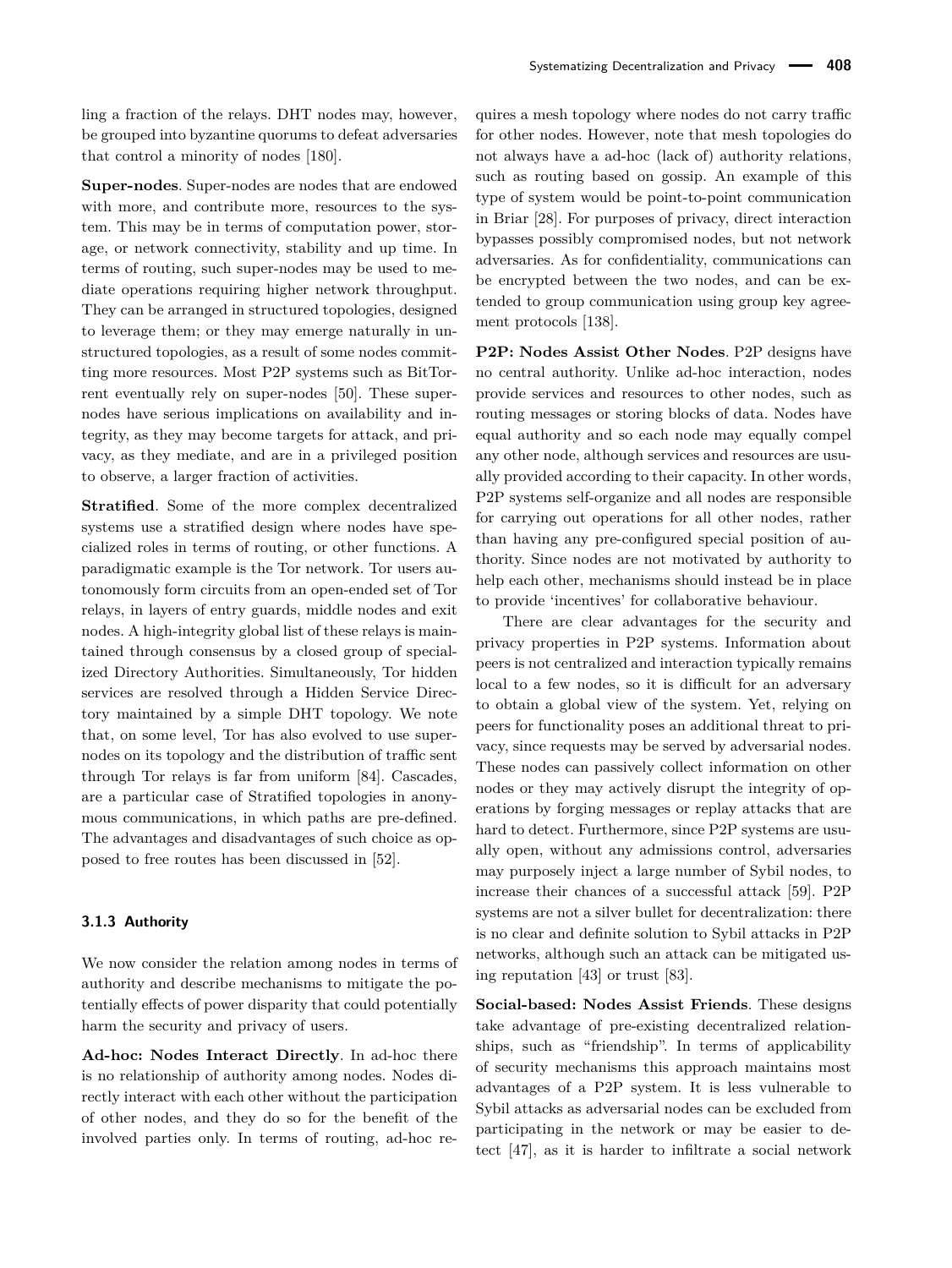ling a fraction of the relays. DHT nodes may, however, be grouped into byzantine quorums to defeat adversaries that control a minority of nodes [\[180\]](#page-22-5).

**Super-nodes**. Super-nodes are nodes that are endowed with more, and contribute more, resources to the system. This may be in terms of computation power, storage, or network connectivity, stability and up time. In terms of routing, such super-nodes may be used to mediate operations requiring higher network throughput. They can be arranged in structured topologies, designed to leverage them; or they may emerge naturally in unstructured topologies, as a result of some nodes committing more resources. Most P2P systems such as BitTorrent eventually rely on super-nodes [\[50\]](#page-18-11). These supernodes have serious implications on availability and integrity, as they may become targets for attack, and privacy, as they mediate, and are in a privileged position to observe, a larger fraction of activities.

**Stratified**. Some of the more complex decentralized systems use a stratified design where nodes have specialized roles in terms of routing, or other functions. A paradigmatic example is the Tor network. Tor users autonomously form circuits from an open-ended set of Tor relays, in layers of entry guards, middle nodes and exit nodes. A high-integrity global list of these relays is maintained through consensus by a closed group of specialized Directory Authorities. Simultaneously, Tor hidden services are resolved through a Hidden Service Directory maintained by a simple DHT topology. We note that, on some level, Tor has also evolved to use supernodes on its topology and the distribution of traffic sent through Tor relays is far from uniform [\[84\]](#page-19-6). Cascades, are a particular case of Stratified topologies in anonymous communications, in which paths are pre-defined. The advantages and disadvantages of such choice as opposed to free routes has been discussed in [\[52\]](#page-19-7).

#### **3.1.3 Authority**

We now consider the relation among nodes in terms of authority and describe mechanisms to mitigate the potentially effects of power disparity that could potentially harm the security and privacy of users.

**Ad-hoc: Nodes Interact Directly**. In ad-hoc there is no relationship of authority among nodes. Nodes directly interact with each other without the participation of other nodes, and they do so for the benefit of the involved parties only. In terms of routing, ad-hoc requires a mesh topology where nodes do not carry traffic for other nodes. However, note that mesh topologies do not always have a ad-hoc (lack of) authority relations, such as routing based on gossip. An example of this type of system would be point-to-point communication in Briar [\[28\]](#page-18-10). For purposes of privacy, direct interaction bypasses possibly compromised nodes, but not network adversaries. As for confidentiality, communications can be encrypted between the two nodes, and can be extended to group communication using group key agreement protocols [\[138\]](#page-21-5).

**P2P: Nodes Assist Other Nodes**. P2P designs have no central authority. Unlike ad-hoc interaction, nodes provide services and resources to other nodes, such as routing messages or storing blocks of data. Nodes have equal authority and so each node may equally compel any other node, although services and resources are usually provided according to their capacity. In other words, P2P systems self-organize and all nodes are responsible for carrying out operations for all other nodes, rather than having any pre-configured special position of authority. Since nodes are not motivated by authority to help each other, mechanisms should instead be in place to provide 'incentives' for collaborative behaviour.

There are clear advantages for the security and privacy properties in P2P systems. Information about peers is not centralized and interaction typically remains local to a few nodes, so it is difficult for an adversary to obtain a global view of the system. Yet, relying on peers for functionality poses an additional threat to privacy, since requests may be served by adversarial nodes. These nodes can passively collect information on other nodes or they may actively disrupt the integrity of operations by forging messages or replay attacks that are hard to detect. Furthermore, since P2P systems are usually open, without any admissions control, adversaries may purposely inject a large number of Sybil nodes, to increase their chances of a successful attack [\[59\]](#page-19-8). P2P systems are not a silver bullet for decentralization: there is no clear and definite solution to Sybil attacks in P2P networks, although such an attack can be mitigated using reputation [\[43\]](#page-18-12) or trust [\[83\]](#page-19-9).

**Social-based: Nodes Assist Friends**. These designs take advantage of pre-existing decentralized relationships, such as "friendship". In terms of applicability of security mechanisms this approach maintains most advantages of a P2P system. It is less vulnerable to Sybil attacks as adversarial nodes can be excluded from participating in the network or may be easier to detect [\[47\]](#page-18-13), as it is harder to infiltrate a social network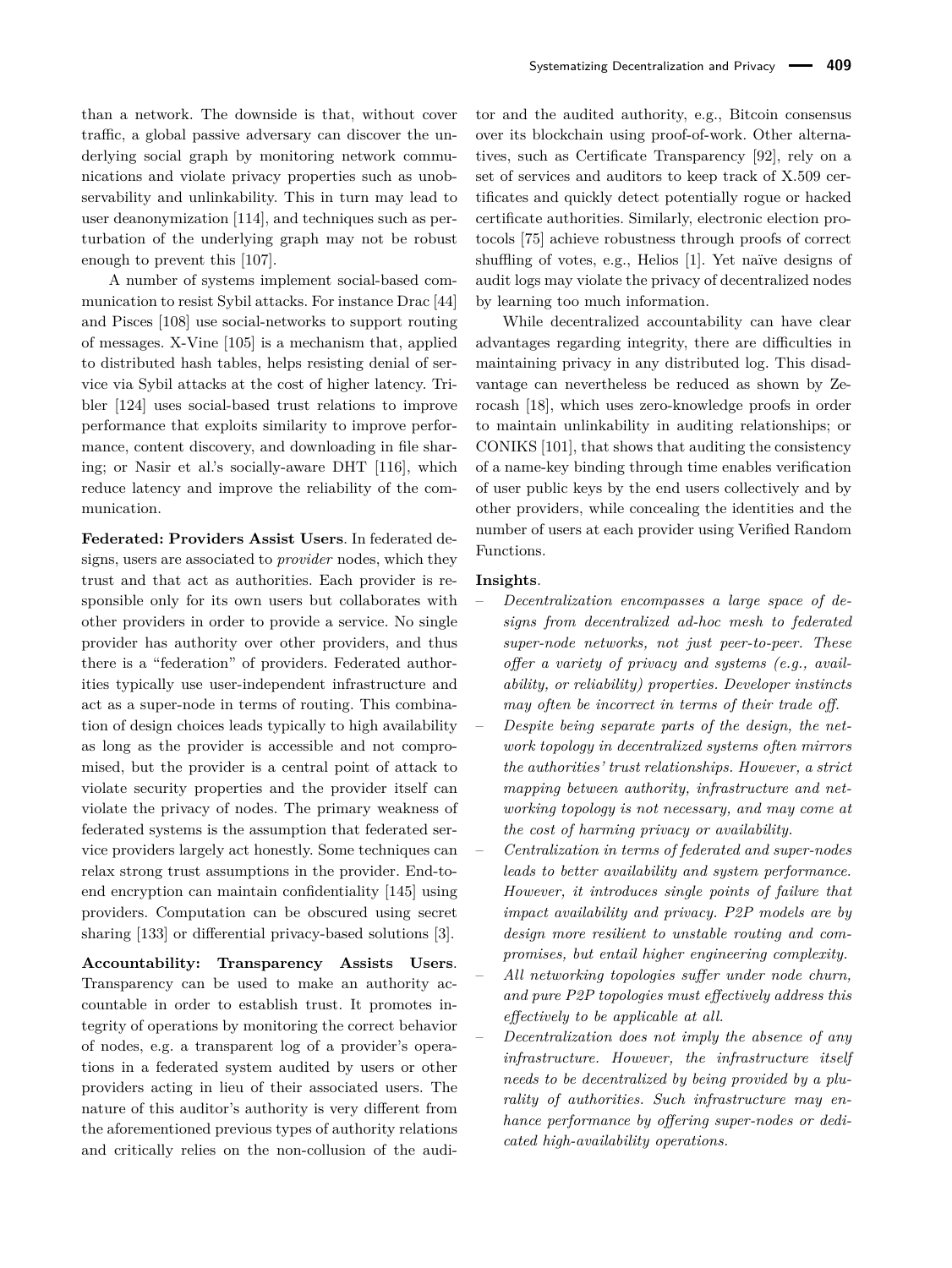than a network. The downside is that, without cover traffic, a global passive adversary can discover the underlying social graph by monitoring network communications and violate privacy properties such as unobservability and unlinkability. This in turn may lead to user deanonymization [\[114\]](#page-20-7), and techniques such as perturbation of the underlying graph may not be robust enough to prevent this [\[107\]](#page-20-8).

A number of systems implement social-based communication to resist Sybil attacks. For instance Drac [\[44\]](#page-18-14) and Pisces [\[108\]](#page-20-9) use social-networks to support routing of messages. X-Vine [\[105\]](#page-20-10) is a mechanism that, applied to distributed hash tables, helps resisting denial of service via Sybil attacks at the cost of higher latency. Tribler [\[124\]](#page-20-11) uses social-based trust relations to improve performance that exploits similarity to improve performance, content discovery, and downloading in file sharing; or Nasir et al.'s socially-aware DHT [\[116\]](#page-20-12), which reduce latency and improve the reliability of the communication.

**Federated: Providers Assist Users**. In federated designs, users are associated to *provider* nodes, which they trust and that act as authorities. Each provider is responsible only for its own users but collaborates with other providers in order to provide a service. No single provider has authority over other providers, and thus there is a "federation" of providers. Federated authorities typically use user-independent infrastructure and act as a super-node in terms of routing. This combination of design choices leads typically to high availability as long as the provider is accessible and not compromised, but the provider is a central point of attack to violate security properties and the provider itself can violate the privacy of nodes. The primary weakness of federated systems is the assumption that federated service providers largely act honestly. Some techniques can relax strong trust assumptions in the provider. End-toend encryption can maintain confidentiality [\[145\]](#page-21-6) using providers. Computation can be obscured using secret sharing [\[133\]](#page-21-7) or differential privacy-based solutions [\[3\]](#page-17-5).

**Accountability: Transparency Assists Users**. Transparency can be used to make an authority accountable in order to establish trust. It promotes integrity of operations by monitoring the correct behavior of nodes, e.g. a transparent log of a provider's operations in a federated system audited by users or other providers acting in lieu of their associated users. The nature of this auditor's authority is very different from the aforementioned previous types of authority relations and critically relies on the non-collusion of the auditor and the audited authority, e.g., Bitcoin consensus over its blockchain using proof-of-work. Other alternatives, such as Certificate Transparency [\[92\]](#page-20-13), rely on a set of services and auditors to keep track of X.509 certificates and quickly detect potentially rogue or hacked certificate authorities. Similarly, electronic election protocols [\[75\]](#page-19-10) achieve robustness through proofs of correct shuffling of votes, e.g., Helios [\[1\]](#page-17-6). Yet naïve designs of audit logs may violate the privacy of decentralized nodes by learning too much information.

While decentralized accountability can have clear advantages regarding integrity, there are difficulties in maintaining privacy in any distributed log. This disadvantage can nevertheless be reduced as shown by Zerocash [\[18\]](#page-18-15), which uses zero-knowledge proofs in order to maintain unlinkability in auditing relationships; or CONIKS [\[101\]](#page-20-14), that shows that auditing the consistency of a name-key binding through time enables verification of user public keys by the end users collectively and by other providers, while concealing the identities and the number of users at each provider using Verified Random Functions.

#### **Insights**.

- *Decentralization encompasses a large space of designs from decentralized ad-hoc mesh to federated super-node networks, not just peer-to-peer. These offer a variety of privacy and systems (e.g., availability, or reliability) properties. Developer instincts may often be incorrect in terms of their trade off.*
- *Despite being separate parts of the design, the network topology in decentralized systems often mirrors the authorities' trust relationships. However, a strict mapping between authority, infrastructure and networking topology is not necessary, and may come at the cost of harming privacy or availability.*
- *Centralization in terms of federated and super-nodes leads to better availability and system performance. However, it introduces single points of failure that impact availability and privacy. P2P models are by design more resilient to unstable routing and compromises, but entail higher engineering complexity.*
- *All networking topologies suffer under node churn, and pure P2P topologies must effectively address this effectively to be applicable at all.*
- *Decentralization does not imply the absence of any infrastructure. However, the infrastructure itself needs to be decentralized by being provided by a plurality of authorities. Such infrastructure may enhance performance by offering super-nodes or dedicated high-availability operations.*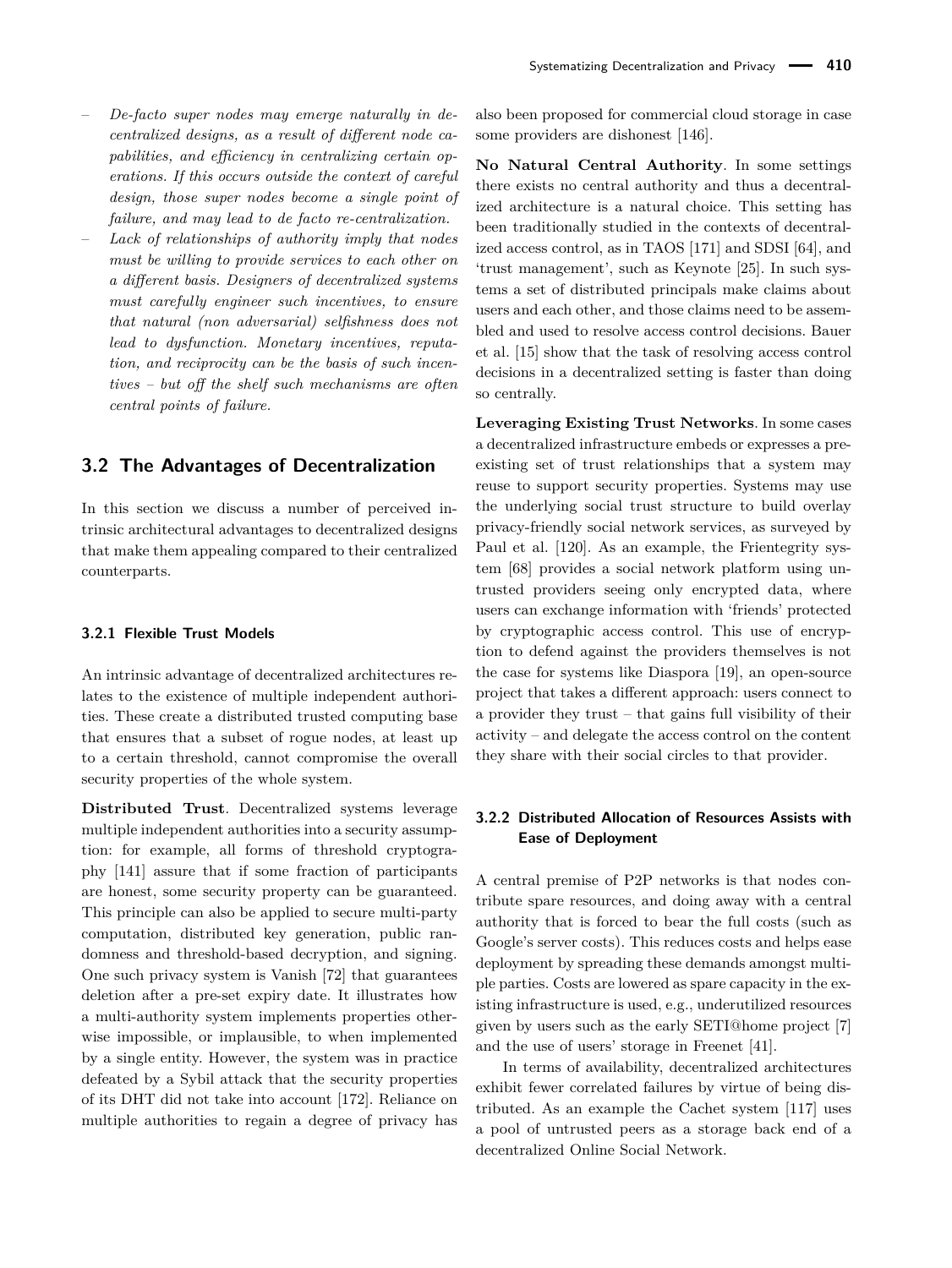- *De-facto super nodes may emerge naturally in decentralized designs, as a result of different node capabilities, and efficiency in centralizing certain operations. If this occurs outside the context of careful design, those super nodes become a single point of failure, and may lead to de facto re-centralization.*
- *Lack of relationships of authority imply that nodes must be willing to provide services to each other on a different basis. Designers of decentralized systems must carefully engineer such incentives, to ensure that natural (non adversarial) selfishness does not lead to dysfunction. Monetary incentives, reputation, and reciprocity can be the basis of such incentives – but off the shelf such mechanisms are often central points of failure.*

### <span id="page-6-0"></span>**3.2 The Advantages of Decentralization**

In this section we discuss a number of perceived intrinsic architectural advantages to decentralized designs that make them appealing compared to their centralized counterparts.

#### **3.2.1 Flexible Trust Models**

An intrinsic advantage of decentralized architectures relates to the existence of multiple independent authorities. These create a distributed trusted computing base that ensures that a subset of rogue nodes, at least up to a certain threshold, cannot compromise the overall security properties of the whole system.

**Distributed Trust**. Decentralized systems leverage multiple independent authorities into a security assumption: for example, all forms of threshold cryptography [\[141\]](#page-21-8) assure that if some fraction of participants are honest, some security property can be guaranteed. This principle can also be applied to secure multi-party computation, distributed key generation, public randomness and threshold-based decryption, and signing. One such privacy system is Vanish [\[72\]](#page-19-11) that guarantees deletion after a pre-set expiry date. It illustrates how a multi-authority system implements properties otherwise impossible, or implausible, to when implemented by a single entity. However, the system was in practice defeated by a Sybil attack that the security properties of its DHT did not take into account [\[172\]](#page-22-6). Reliance on multiple authorities to regain a degree of privacy has

also been proposed for commercial cloud storage in case some providers are dishonest [\[146\]](#page-21-9).

**No Natural Central Authority**. In some settings there exists no central authority and thus a decentralized architecture is a natural choice. This setting has been traditionally studied in the contexts of decentralized access control, as in TAOS [\[171\]](#page-22-7) and SDSI [\[64\]](#page-19-12), and 'trust management', such as Keynote [\[25\]](#page-18-16). In such systems a set of distributed principals make claims about users and each other, and those claims need to be assembled and used to resolve access control decisions. Bauer et al. [\[15\]](#page-17-7) show that the task of resolving access control decisions in a decentralized setting is faster than doing so centrally.

**Leveraging Existing Trust Networks**. In some cases a decentralized infrastructure embeds or expresses a preexisting set of trust relationships that a system may reuse to support security properties. Systems may use the underlying social trust structure to build overlay privacy-friendly social network services, as surveyed by Paul et al. [\[120\]](#page-20-15). As an example, the Frientegrity system [\[68\]](#page-19-13) provides a social network platform using untrusted providers seeing only encrypted data, where users can exchange information with 'friends' protected by cryptographic access control. This use of encryption to defend against the providers themselves is not the case for systems like Diaspora [\[19\]](#page-18-17), an open-source project that takes a different approach: users connect to a provider they trust – that gains full visibility of their activity – and delegate the access control on the content they share with their social circles to that provider.

### **3.2.2 Distributed Allocation of Resources Assists with Ease of Deployment**

A central premise of P2P networks is that nodes contribute spare resources, and doing away with a central authority that is forced to bear the full costs (such as Google's server costs). This reduces costs and helps ease deployment by spreading these demands amongst multiple parties. Costs are lowered as spare capacity in the existing infrastructure is used, e.g., underutilized resources given by users such as the early SETI@home project [\[7\]](#page-17-8) and the use of users' storage in Freenet [\[41\]](#page-18-3).

In terms of availability, decentralized architectures exhibit fewer correlated failures by virtue of being distributed. As an example the Cachet system [\[117\]](#page-20-4) uses a pool of untrusted peers as a storage back end of a decentralized Online Social Network.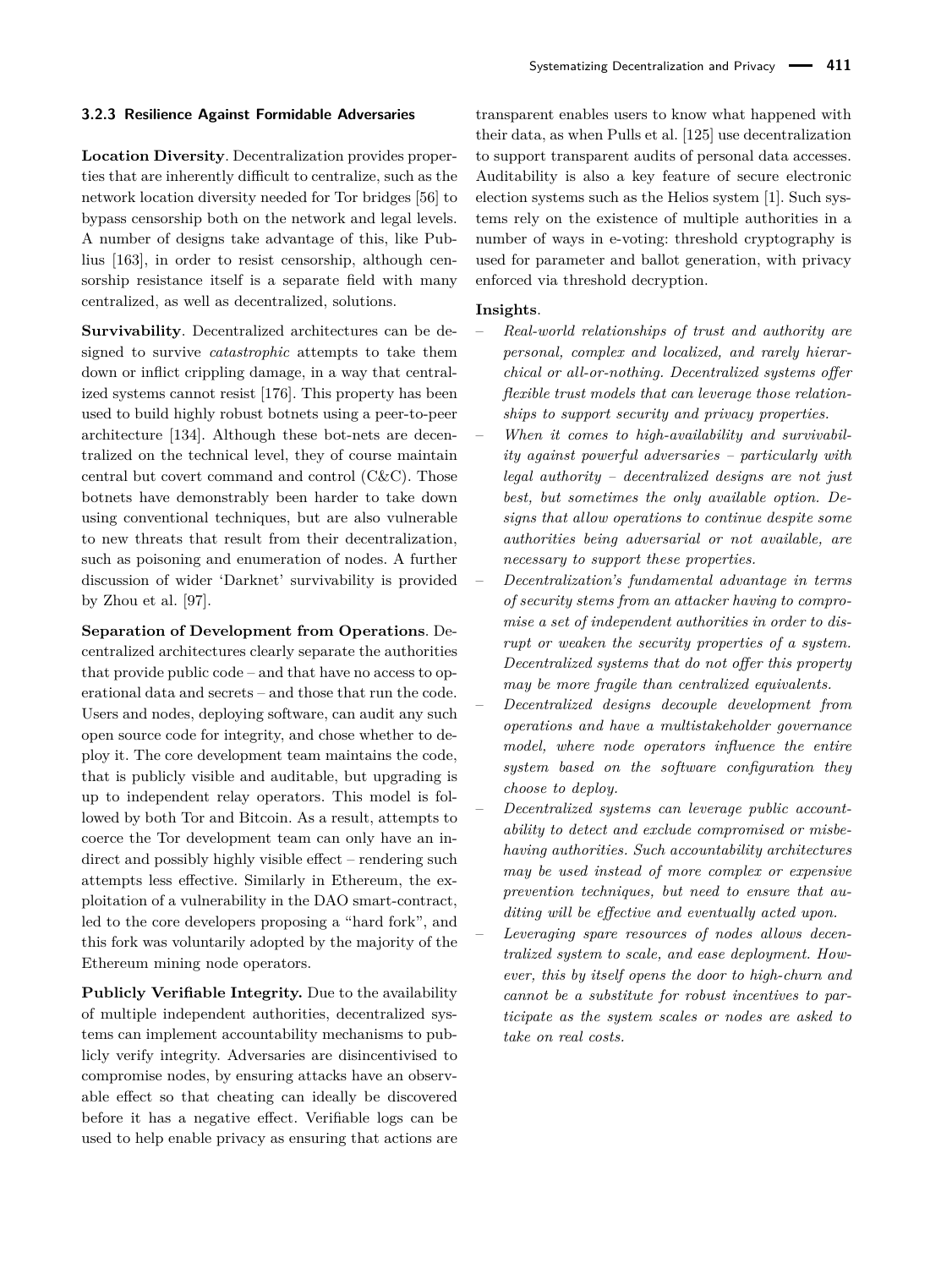#### **3.2.3 Resilience Against Formidable Adversaries**

**Location Diversity**. Decentralization provides properties that are inherently difficult to centralize, such as the network location diversity needed for Tor bridges [\[56\]](#page-19-14) to bypass censorship both on the network and legal levels. A number of designs take advantage of this, like Publius [\[163\]](#page-22-8), in order to resist censorship, although censorship resistance itself is a separate field with many centralized, as well as decentralized, solutions.

**Survivability**. Decentralized architectures can be designed to survive *catastrophic* attempts to take them down or inflict crippling damage, in a way that centralized systems cannot resist [\[176\]](#page-22-9). This property has been used to build highly robust botnets using a peer-to-peer architecture [\[134\]](#page-21-10). Although these bot-nets are decentralized on the technical level, they of course maintain central but covert command and control (C&C). Those botnets have demonstrably been harder to take down using conventional techniques, but are also vulnerable to new threats that result from their decentralization, such as poisoning and enumeration of nodes. A further discussion of wider 'Darknet' survivability is provided by Zhou et al. [\[97\]](#page-20-16).

**Separation of Development from Operations**. Decentralized architectures clearly separate the authorities that provide public code – and that have no access to operational data and secrets – and those that run the code. Users and nodes, deploying software, can audit any such open source code for integrity, and chose whether to deploy it. The core development team maintains the code, that is publicly visible and auditable, but upgrading is up to independent relay operators. This model is followed by both Tor and Bitcoin. As a result, attempts to coerce the Tor development team can only have an indirect and possibly highly visible effect – rendering such attempts less effective. Similarly in Ethereum, the exploitation of a vulnerability in the DAO smart-contract, led to the core developers proposing a "hard fork", and this fork was voluntarily adopted by the majority of the Ethereum mining node operators.

**Publicly Verifiable Integrity.** Due to the availability of multiple independent authorities, decentralized systems can implement accountability mechanisms to publicly verify integrity. Adversaries are disincentivised to compromise nodes, by ensuring attacks have an observable effect so that cheating can ideally be discovered before it has a negative effect. Verifiable logs can be used to help enable privacy as ensuring that actions are transparent enables users to know what happened with their data, as when Pulls et al. [\[125\]](#page-20-17) use decentralization to support transparent audits of personal data accesses. Auditability is also a key feature of secure electronic election systems such as the Helios system [\[1\]](#page-17-6). Such systems rely on the existence of multiple authorities in a number of ways in e-voting: threshold cryptography is used for parameter and ballot generation, with privacy enforced via threshold decryption.

#### **Insights**.

- *Real-world relationships of trust and authority are personal, complex and localized, and rarely hierarchical or all-or-nothing. Decentralized systems offer flexible trust models that can leverage those relationships to support security and privacy properties.*
- *When it comes to high-availability and survivability against powerful adversaries – particularly with legal authority – decentralized designs are not just best, but sometimes the only available option. Designs that allow operations to continue despite some authorities being adversarial or not available, are necessary to support these properties.*
- *Decentralization's fundamental advantage in terms of security stems from an attacker having to compromise a set of independent authorities in order to disrupt or weaken the security properties of a system. Decentralized systems that do not offer this property may be more fragile than centralized equivalents.*
- *Decentralized designs decouple development from operations and have a multistakeholder governance model, where node operators influence the entire system based on the software configuration they choose to deploy.*
- *Decentralized systems can leverage public accountability to detect and exclude compromised or misbehaving authorities. Such accountability architectures may be used instead of more complex or expensive prevention techniques, but need to ensure that auditing will be effective and eventually acted upon.*
- *Leveraging spare resources of nodes allows decentralized system to scale, and ease deployment. However, this by itself opens the door to high-churn and cannot be a substitute for robust incentives to participate as the system scales or nodes are asked to take on real costs.*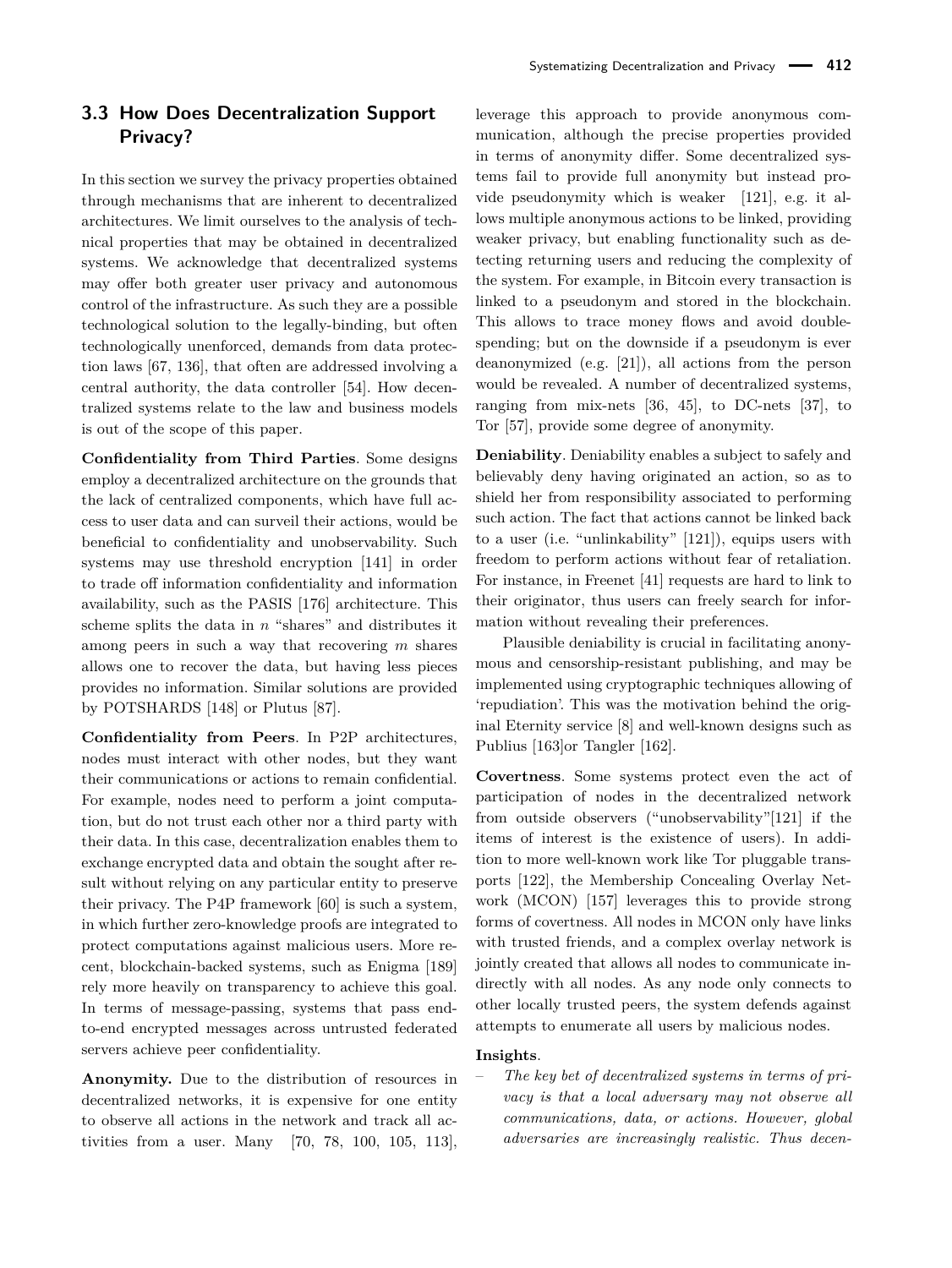# <span id="page-8-0"></span>**3.3 How Does Decentralization Support Privacy?**

In this section we survey the privacy properties obtained through mechanisms that are inherent to decentralized architectures. We limit ourselves to the analysis of technical properties that may be obtained in decentralized systems. We acknowledge that decentralized systems may offer both greater user privacy and autonomous control of the infrastructure. As such they are a possible technological solution to the legally-binding, but often technologically unenforced, demands from data protection laws [\[67,](#page-19-15) [136\]](#page-21-11), that often are addressed involving a central authority, the data controller [\[54\]](#page-19-16). How decentralized systems relate to the law and business models is out of the scope of this paper.

**Confidentiality from Third Parties**. Some designs employ a decentralized architecture on the grounds that the lack of centralized components, which have full access to user data and can surveil their actions, would be beneficial to confidentiality and unobservability. Such systems may use threshold encryption [\[141\]](#page-21-8) in order to trade off information confidentiality and information availability, such as the PASIS [\[176\]](#page-22-9) architecture. This scheme splits the data in *n* "shares" and distributes it among peers in such a way that recovering *m* shares allows one to recover the data, but having less pieces provides no information. Similar solutions are provided by POTSHARDS [\[148\]](#page-21-12) or Plutus [\[87\]](#page-19-17).

**Confidentiality from Peers**. In P2P architectures, nodes must interact with other nodes, but they want their communications or actions to remain confidential. For example, nodes need to perform a joint computation, but do not trust each other nor a third party with their data. In this case, decentralization enables them to exchange encrypted data and obtain the sought after result without relying on any particular entity to preserve their privacy. The P4P framework [\[60\]](#page-19-18) is such a system, in which further zero-knowledge proofs are integrated to protect computations against malicious users. More recent, blockchain-backed systems, such as Enigma [\[189\]](#page-22-3) rely more heavily on transparency to achieve this goal. In terms of message-passing, systems that pass endto-end encrypted messages across untrusted federated servers achieve peer confidentiality.

**Anonymity.** Due to the distribution of resources in decentralized networks, it is expensive for one entity to observe all actions in the network and track all activities from a user. Many [\[70,](#page-19-19) [78,](#page-19-20) [100,](#page-20-18) [105,](#page-20-10) [113\]](#page-20-6),

leverage this approach to provide anonymous communication, although the precise properties provided in terms of anonymity differ. Some decentralized systems fail to provide full anonymity but instead provide pseudonymity which is weaker [\[121\]](#page-20-3), e.g. it allows multiple anonymous actions to be linked, providing weaker privacy, but enabling functionality such as detecting returning users and reducing the complexity of the system. For example, in Bitcoin every transaction is linked to a pseudonym and stored in the blockchain. This allows to trace money flows and avoid doublespending; but on the downside if a pseudonym is ever deanonymized (e.g. [\[21\]](#page-18-18)), all actions from the person would be revealed. A number of decentralized systems, ranging from mix-nets [\[36,](#page-18-7) [45\]](#page-18-19), to DC-nets [\[37\]](#page-18-8), to Tor [\[57\]](#page-19-0), provide some degree of anonymity.

**Deniability**. Deniability enables a subject to safely and believably deny having originated an action, so as to shield her from responsibility associated to performing such action. The fact that actions cannot be linked back to a user (i.e. "unlinkability" [\[121\]](#page-20-3)), equips users with freedom to perform actions without fear of retaliation. For instance, in Freenet [\[41\]](#page-18-3) requests are hard to link to their originator, thus users can freely search for information without revealing their preferences.

Plausible deniability is crucial in facilitating anonymous and censorship-resistant publishing, and may be implemented using cryptographic techniques allowing of 'repudiation'. This was the motivation behind the original Eternity service [\[8\]](#page-17-0) and well-known designs such as Publius [\[163\]](#page-22-8)or Tangler [\[162\]](#page-21-13).

**Covertness**. Some systems protect even the act of participation of nodes in the decentralized network from outside observers ("unobservability"[\[121\]](#page-20-3) if the items of interest is the existence of users). In addition to more well-known work like Tor pluggable transports [\[122\]](#page-20-19), the Membership Concealing Overlay Network (MCON) [\[157\]](#page-21-14) leverages this to provide strong forms of covertness. All nodes in MCON only have links with trusted friends, and a complex overlay network is jointly created that allows all nodes to communicate indirectly with all nodes. As any node only connects to other locally trusted peers, the system defends against attempts to enumerate all users by malicious nodes.

#### **Insights**.

– *The key bet of decentralized systems in terms of privacy is that a local adversary may not observe all communications, data, or actions. However, global adversaries are increasingly realistic. Thus decen-*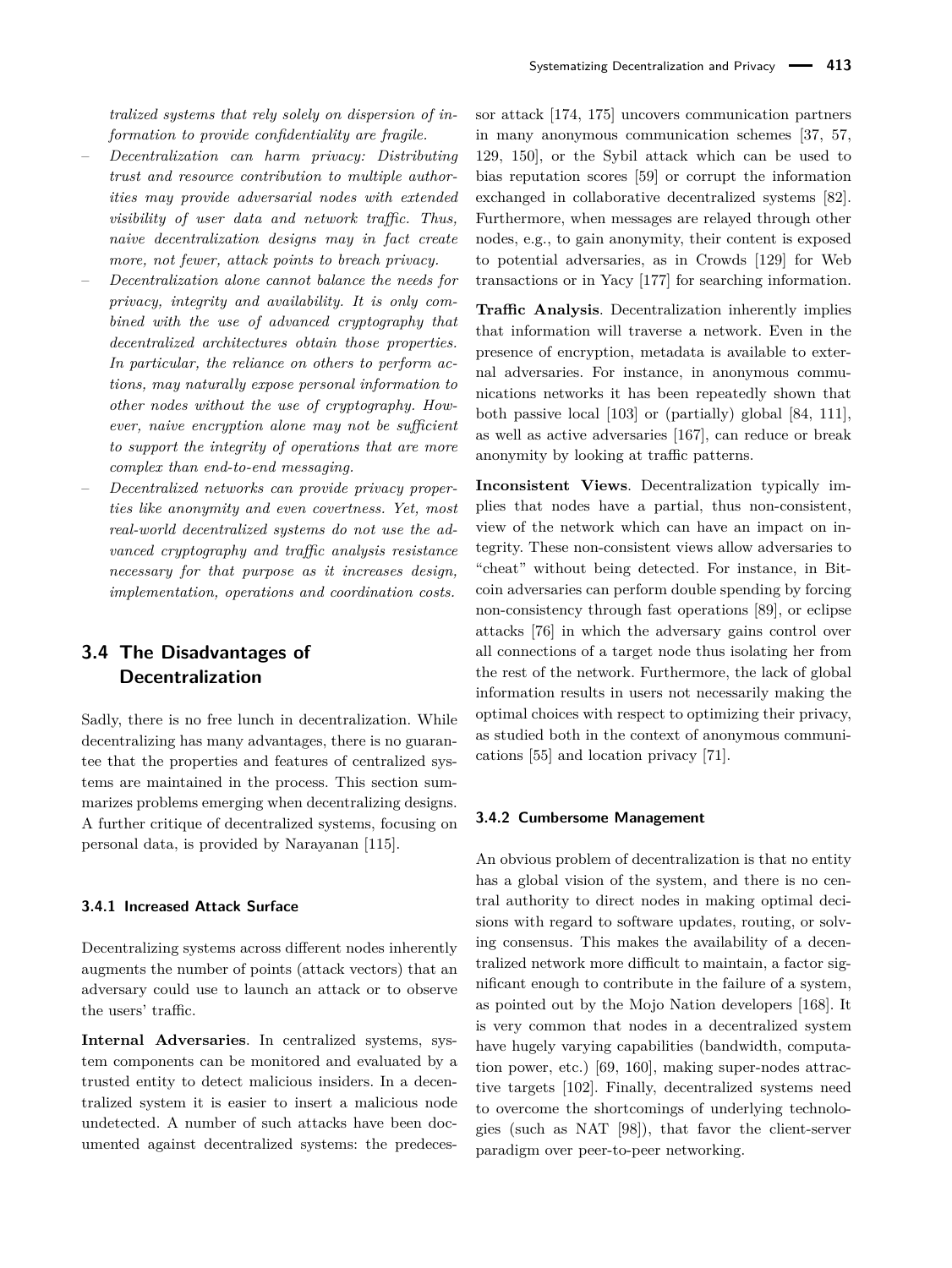*tralized systems that rely solely on dispersion of information to provide confidentiality are fragile.*

- *Decentralization can harm privacy: Distributing trust and resource contribution to multiple authorities may provide adversarial nodes with extended visibility of user data and network traffic. Thus, naive decentralization designs may in fact create more, not fewer, attack points to breach privacy.*
- *Decentralization alone cannot balance the needs for privacy, integrity and availability. It is only combined with the use of advanced cryptography that decentralized architectures obtain those properties. In particular, the reliance on others to perform actions, may naturally expose personal information to other nodes without the use of cryptography. However, naive encryption alone may not be sufficient to support the integrity of operations that are more complex than end-to-end messaging.*
- *Decentralized networks can provide privacy properties like anonymity and even covertness. Yet, most real-world decentralized systems do not use the advanced cryptography and traffic analysis resistance necessary for that purpose as it increases design, implementation, operations and coordination costs.*

### <span id="page-9-0"></span>**3.4 The Disadvantages of Decentralization**

Sadly, there is no free lunch in decentralization. While decentralizing has many advantages, there is no guarantee that the properties and features of centralized systems are maintained in the process. This section summarizes problems emerging when decentralizing designs. A further critique of decentralized systems, focusing on personal data, is provided by Narayanan [\[115\]](#page-20-20).

#### **3.4.1 Increased Attack Surface**

Decentralizing systems across different nodes inherently augments the number of points (attack vectors) that an adversary could use to launch an attack or to observe the users' traffic.

**Internal Adversaries**. In centralized systems, system components can be monitored and evaluated by a trusted entity to detect malicious insiders. In a decentralized system it is easier to insert a malicious node undetected. A number of such attacks have been documented against decentralized systems: the predecessor attack [\[174,](#page-22-10) [175\]](#page-22-11) uncovers communication partners in many anonymous communication schemes [\[37,](#page-18-8) [57,](#page-19-0) [129,](#page-21-15) [150\]](#page-21-16), or the Sybil attack which can be used to bias reputation scores [\[59\]](#page-19-8) or corrupt the information exchanged in collaborative decentralized systems [\[82\]](#page-19-21). Furthermore, when messages are relayed through other nodes, e.g., to gain anonymity, their content is exposed to potential adversaries, as in Crowds [\[129\]](#page-21-15) for Web transactions or in Yacy [\[177\]](#page-22-12) for searching information.

**Traffic Analysis**. Decentralization inherently implies that information will traverse a network. Even in the presence of encryption, metadata is available to external adversaries. For instance, in anonymous communications networks it has been repeatedly shown that both passive local [\[103\]](#page-20-21) or (partially) global [\[84,](#page-19-6) [111\]](#page-20-22), as well as active adversaries [\[167\]](#page-22-13), can reduce or break anonymity by looking at traffic patterns.

**Inconsistent Views**. Decentralization typically implies that nodes have a partial, thus non-consistent, view of the network which can have an impact on integrity. These non-consistent views allow adversaries to "cheat" without being detected. For instance, in Bitcoin adversaries can perform double spending by forcing non-consistency through fast operations [\[89\]](#page-19-22), or eclipse attacks [\[76\]](#page-19-23) in which the adversary gains control over all connections of a target node thus isolating her from the rest of the network. Furthermore, the lack of global information results in users not necessarily making the optimal choices with respect to optimizing their privacy, as studied both in the context of anonymous communications [\[55\]](#page-19-24) and location privacy [\[71\]](#page-19-25).

#### **3.4.2 Cumbersome Management**

An obvious problem of decentralization is that no entity has a global vision of the system, and there is no central authority to direct nodes in making optimal decisions with regard to software updates, routing, or solving consensus. This makes the availability of a decentralized network more difficult to maintain, a factor significant enough to contribute in the failure of a system, as pointed out by the Mojo Nation developers [\[168\]](#page-22-14). It is very common that nodes in a decentralized system have hugely varying capabilities (bandwidth, computation power, etc.) [\[69,](#page-19-26) [160\]](#page-21-17), making super-nodes attractive targets [\[102\]](#page-20-23). Finally, decentralized systems need to overcome the shortcomings of underlying technologies (such as NAT [\[98\]](#page-20-24)), that favor the client-server paradigm over peer-to-peer networking.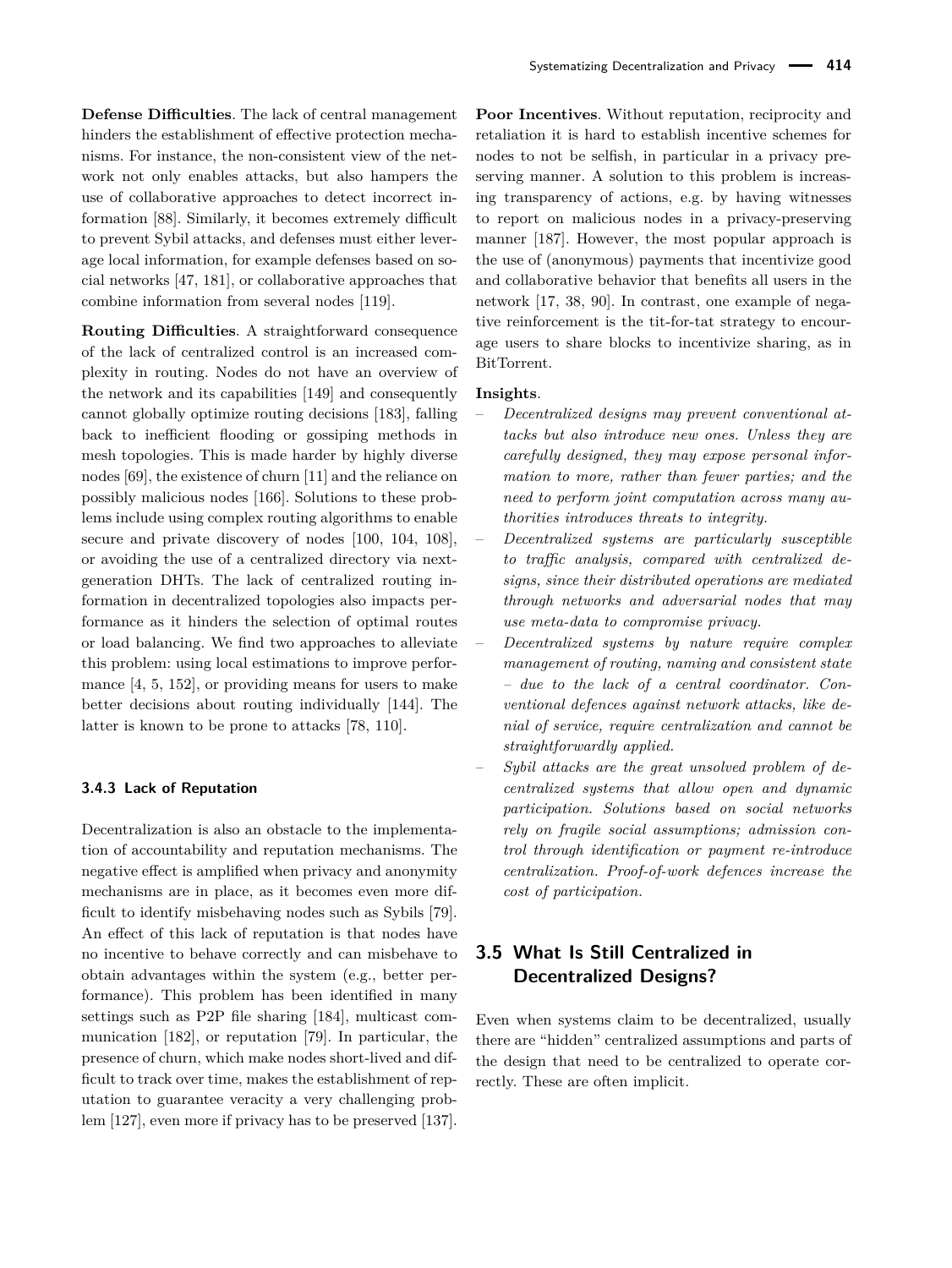**Defense Difficulties**. The lack of central management hinders the establishment of effective protection mechanisms. For instance, the non-consistent view of the network not only enables attacks, but also hampers the use of collaborative approaches to detect incorrect information [\[88\]](#page-19-27). Similarly, it becomes extremely difficult to prevent Sybil attacks, and defenses must either leverage local information, for example defenses based on social networks [\[47,](#page-18-13) [181\]](#page-22-15), or collaborative approaches that combine information from several nodes [\[119\]](#page-20-25).

**Routing Difficulties**. A straightforward consequence of the lack of centralized control is an increased complexity in routing. Nodes do not have an overview of the network and its capabilities [\[149\]](#page-21-18) and consequently cannot globally optimize routing decisions [\[183\]](#page-22-16), falling back to inefficient flooding or gossiping methods in mesh topologies. This is made harder by highly diverse nodes [\[69\]](#page-19-26), the existence of churn [\[11\]](#page-17-9) and the reliance on possibly malicious nodes [\[166\]](#page-22-17). Solutions to these problems include using complex routing algorithms to enable secure and private discovery of nodes [\[100,](#page-20-18) [104,](#page-20-26) [108\]](#page-20-9), or avoiding the use of a centralized directory via nextgeneration DHTs. The lack of centralized routing information in decentralized topologies also impacts performance as it hinders the selection of optimal routes or load balancing. We find two approaches to alleviate this problem: using local estimations to improve performance [\[4,](#page-17-10) [5,](#page-17-11) [152\]](#page-21-19), or providing means for users to make better decisions about routing individually [\[144\]](#page-21-20). The latter is known to be prone to attacks [\[78,](#page-19-20) [110\]](#page-20-27).

#### **3.4.3 Lack of Reputation**

Decentralization is also an obstacle to the implementation of accountability and reputation mechanisms. The negative effect is amplified when privacy and anonymity mechanisms are in place, as it becomes even more difficult to identify misbehaving nodes such as Sybils [\[79\]](#page-19-28). An effect of this lack of reputation is that nodes have no incentive to behave correctly and can misbehave to obtain advantages within the system (e.g., better performance). This problem has been identified in many settings such as P2P file sharing [\[184\]](#page-22-18), multicast communication [\[182\]](#page-22-19), or reputation [\[79\]](#page-19-28). In particular, the presence of churn, which make nodes short-lived and difficult to track over time, makes the establishment of reputation to guarantee veracity a very challenging problem [\[127\]](#page-21-21), even more if privacy has to be preserved [\[137\]](#page-21-22).

**Poor Incentives**. Without reputation, reciprocity and retaliation it is hard to establish incentive schemes for nodes to not be selfish, in particular in a privacy preserving manner. A solution to this problem is increasing transparency of actions, e.g. by having witnesses to report on malicious nodes in a privacy-preserving manner [\[187\]](#page-22-20). However, the most popular approach is the use of (anonymous) payments that incentivize good and collaborative behavior that benefits all users in the network [\[17,](#page-17-12) [38,](#page-18-20) [90\]](#page-20-28). In contrast, one example of negative reinforcement is the tit-for-tat strategy to encourage users to share blocks to incentivize sharing, as in BitTorrent.

#### **Insights**.

- *Decentralized designs may prevent conventional attacks but also introduce new ones. Unless they are carefully designed, they may expose personal information to more, rather than fewer parties; and the need to perform joint computation across many authorities introduces threats to integrity.*
- *Decentralized systems are particularly susceptible to traffic analysis, compared with centralized designs, since their distributed operations are mediated through networks and adversarial nodes that may use meta-data to compromise privacy.*
- *Decentralized systems by nature require complex management of routing, naming and consistent state – due to the lack of a central coordinator. Conventional defences against network attacks, like denial of service, require centralization and cannot be straightforwardly applied.*
- *Sybil attacks are the great unsolved problem of decentralized systems that allow open and dynamic participation. Solutions based on social networks rely on fragile social assumptions; admission control through identification or payment re-introduce centralization. Proof-of-work defences increase the cost of participation.*

# <span id="page-10-0"></span>**3.5 What Is Still Centralized in Decentralized Designs?**

Even when systems claim to be decentralized, usually there are "hidden" centralized assumptions and parts of the design that need to be centralized to operate correctly. These are often implicit.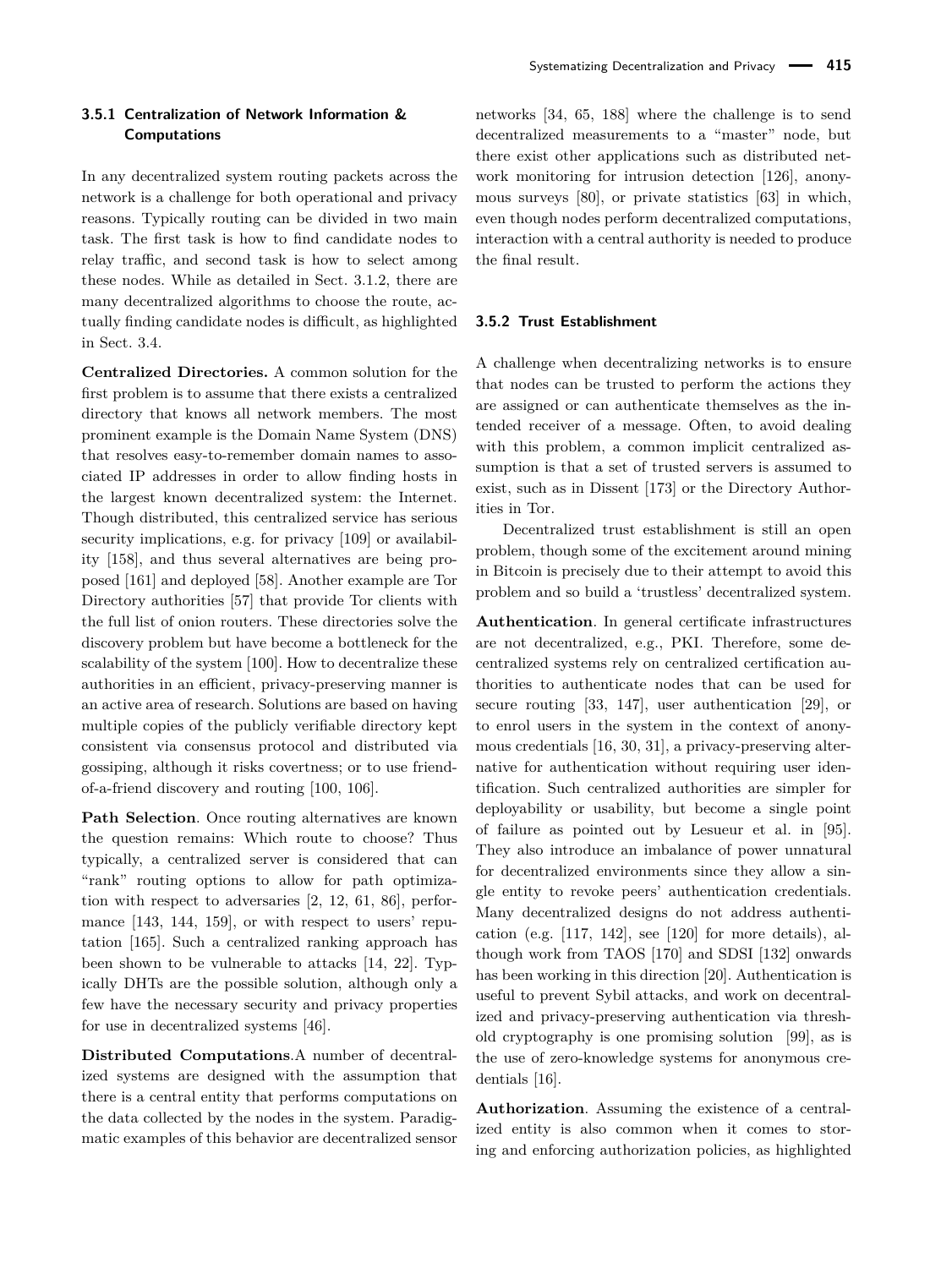In any decentralized system routing packets across the network is a challenge for both operational and privacy reasons. Typically routing can be divided in two main task. The first task is how to find candidate nodes to relay traffic, and second task is how to select among these nodes. While as detailed in Sect. [3.1.2,](#page-3-0) there are many decentralized algorithms to choose the route, actually finding candidate nodes is difficult, as highlighted in Sect. [3.4.](#page-9-0)

**Centralized Directories.** A common solution for the first problem is to assume that there exists a centralized directory that knows all network members. The most prominent example is the Domain Name System (DNS) that resolves easy-to-remember domain names to associated IP addresses in order to allow finding hosts in the largest known decentralized system: the Internet. Though distributed, this centralized service has serious security implications, e.g. for privacy [\[109\]](#page-20-29) or availability [\[158\]](#page-21-23), and thus several alternatives are being proposed [\[161\]](#page-21-24) and deployed [\[58\]](#page-19-29). Another example are Tor Directory authorities [\[57\]](#page-19-0) that provide Tor clients with the full list of onion routers. These directories solve the discovery problem but have become a bottleneck for the scalability of the system [\[100\]](#page-20-18). How to decentralize these authorities in an efficient, privacy-preserving manner is an active area of research. Solutions are based on having multiple copies of the publicly verifiable directory kept consistent via consensus protocol and distributed via gossiping, although it risks covertness; or to use friendof-a-friend discovery and routing [\[100,](#page-20-18) [106\]](#page-20-30).

**Path Selection**. Once routing alternatives are known the question remains: Which route to choose? Thus typically, a centralized server is considered that can "rank" routing options to allow for path optimization with respect to adversaries [\[2,](#page-17-13) [12,](#page-17-14) [61,](#page-19-30) [86\]](#page-19-31), performance [\[143,](#page-21-25) [144,](#page-21-20) [159\]](#page-21-26), or with respect to users' reputation [\[165\]](#page-22-21). Such a centralized ranking approach has been shown to be vulnerable to attacks [\[14,](#page-17-15) [22\]](#page-18-21). Typically DHTs are the possible solution, although only a few have the necessary security and privacy properties for use in decentralized systems [\[46\]](#page-18-22).

**Distributed Computations**.A number of decentralized systems are designed with the assumption that there is a central entity that performs computations on the data collected by the nodes in the system. Paradigmatic examples of this behavior are decentralized sensor

networks [\[34,](#page-18-23) [65,](#page-19-32) [188\]](#page-22-22) where the challenge is to send decentralized measurements to a "master" node, but there exist other applications such as distributed network monitoring for intrusion detection [\[126\]](#page-21-27), anonymous surveys [\[80\]](#page-19-33), or private statistics [\[63\]](#page-19-34) in which, even though nodes perform decentralized computations, interaction with a central authority is needed to produce the final result.

#### **3.5.2 Trust Establishment**

A challenge when decentralizing networks is to ensure that nodes can be trusted to perform the actions they are assigned or can authenticate themselves as the intended receiver of a message. Often, to avoid dealing with this problem, a common implicit centralized assumption is that a set of trusted servers is assumed to exist, such as in Dissent [\[173\]](#page-22-23) or the Directory Authorities in Tor.

Decentralized trust establishment is still an open problem, though some of the excitement around mining in Bitcoin is precisely due to their attempt to avoid this problem and so build a 'trustless' decentralized system.

**Authentication**. In general certificate infrastructures are not decentralized, e.g., PKI. Therefore, some decentralized systems rely on centralized certification authorities to authenticate nodes that can be used for secure routing [\[33,](#page-18-24) [147\]](#page-21-28), user authentication [\[29\]](#page-18-25), or to enrol users in the system in the context of anonymous credentials [\[16,](#page-17-16) [30,](#page-18-26) [31\]](#page-18-27), a privacy-preserving alternative for authentication without requiring user identification. Such centralized authorities are simpler for deployability or usability, but become a single point of failure as pointed out by Lesueur et al. in [\[95\]](#page-20-31). They also introduce an imbalance of power unnatural for decentralized environments since they allow a single entity to revoke peers' authentication credentials. Many decentralized designs do not address authentication (e.g.  $[117, 142]$  $[117, 142]$ , see  $[120]$  for more details), although work from TAOS [\[170\]](#page-22-24) and SDSI [\[132\]](#page-21-30) onwards has been working in this direction [\[20\]](#page-18-28). Authentication is useful to prevent Sybil attacks, and work on decentralized and privacy-preserving authentication via threshold cryptography is one promising solution [\[99\]](#page-20-32), as is the use of zero-knowledge systems for anonymous credentials [\[16\]](#page-17-16).

**Authorization**. Assuming the existence of a centralized entity is also common when it comes to storing and enforcing authorization policies, as highlighted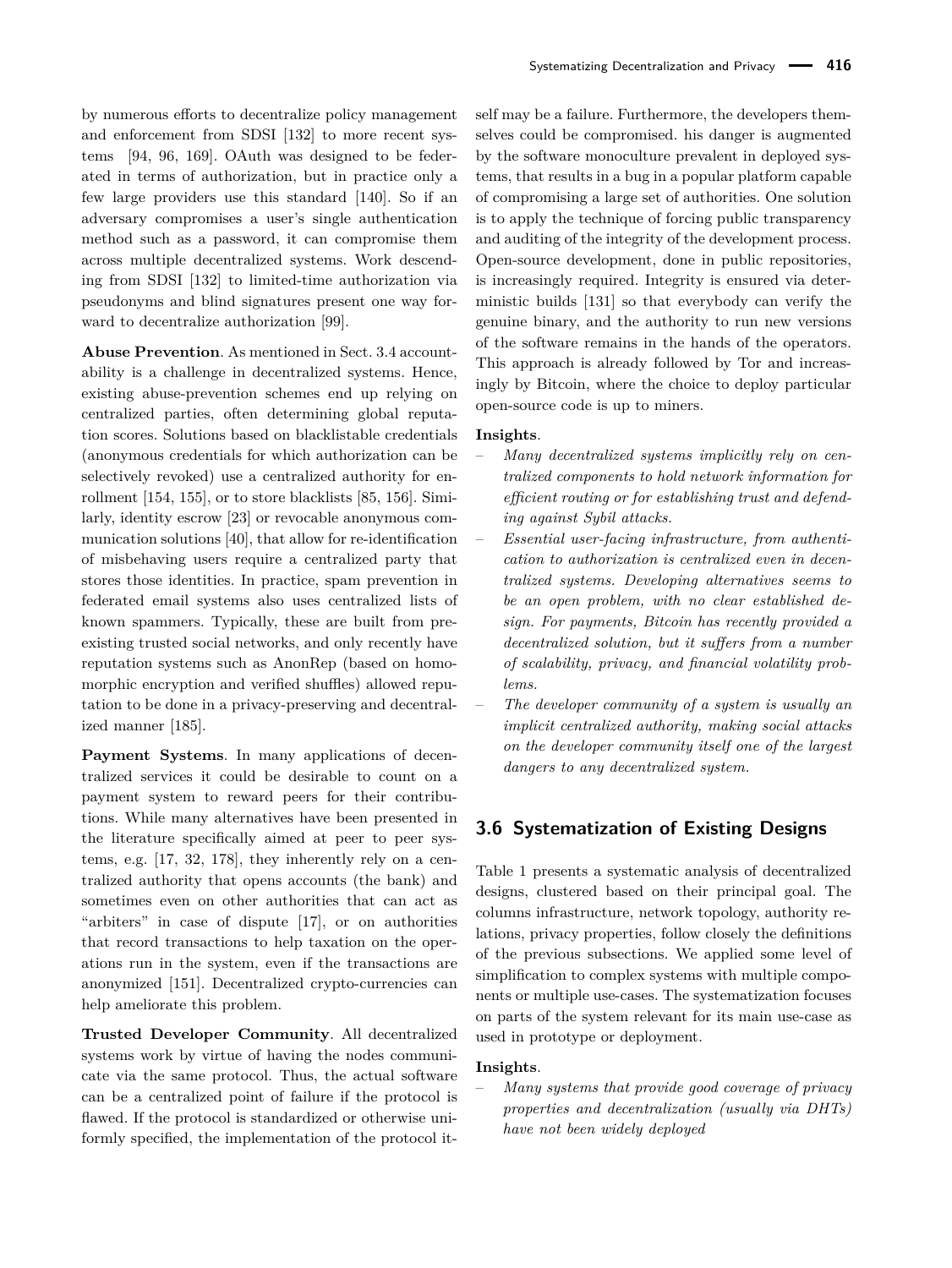by numerous efforts to decentralize policy management and enforcement from SDSI [\[132\]](#page-21-30) to more recent systems [\[94,](#page-20-33) [96,](#page-20-34) [169\]](#page-22-25). OAuth was designed to be federated in terms of authorization, but in practice only a few large providers use this standard [\[140\]](#page-21-31). So if an adversary compromises a user's single authentication method such as a password, it can compromise them across multiple decentralized systems. Work descending from SDSI [\[132\]](#page-21-30) to limited-time authorization via pseudonyms and blind signatures present one way forward to decentralize authorization [\[99\]](#page-20-32).

**Abuse Prevention**. As mentioned in Sect. [3.4](#page-9-0) accountability is a challenge in decentralized systems. Hence, existing abuse-prevention schemes end up relying on centralized parties, often determining global reputation scores. Solutions based on blacklistable credentials (anonymous credentials for which authorization can be selectively revoked) use a centralized authority for enrollment [\[154,](#page-21-32) [155\]](#page-21-33), or to store blacklists [\[85,](#page-19-35) [156\]](#page-21-34). Similarly, identity escrow [\[23\]](#page-18-29) or revocable anonymous communication solutions [\[40\]](#page-18-30), that allow for re-identification of misbehaving users require a centralized party that stores those identities. In practice, spam prevention in federated email systems also uses centralized lists of known spammers. Typically, these are built from preexisting trusted social networks, and only recently have reputation systems such as AnonRep (based on homomorphic encryption and verified shuffles) allowed reputation to be done in a privacy-preserving and decentralized manner [\[185\]](#page-22-26).

**Payment Systems**. In many applications of decentralized services it could be desirable to count on a payment system to reward peers for their contributions. While many alternatives have been presented in the literature specifically aimed at peer to peer systems, e.g. [\[17,](#page-17-12) [32,](#page-18-31) [178\]](#page-22-27), they inherently rely on a centralized authority that opens accounts (the bank) and sometimes even on other authorities that can act as "arbiters" in case of dispute [\[17\]](#page-17-12), or on authorities that record transactions to help taxation on the operations run in the system, even if the transactions are anonymized [\[151\]](#page-21-35). Decentralized crypto-currencies can help ameliorate this problem.

**Trusted Developer Community**. All decentralized systems work by virtue of having the nodes communicate via the same protocol. Thus, the actual software can be a centralized point of failure if the protocol is flawed. If the protocol is standardized or otherwise uniformly specified, the implementation of the protocol itis to apply the technique of forcing public transparency and auditing of the integrity of the development process. Open-source development, done in public repositories, is increasingly required. Integrity is ensured via deterministic builds [\[131\]](#page-21-36) so that everybody can verify the genuine binary, and the authority to run new versions of the software remains in the hands of the operators. This approach is already followed by Tor and increasingly by Bitcoin, where the choice to deploy particular open-source code is up to miners.

#### **Insights**.

- *Many decentralized systems implicitly rely on centralized components to hold network information for efficient routing or for establishing trust and defending against Sybil attacks.*
- *Essential user-facing infrastructure, from authentication to authorization is centralized even in decentralized systems. Developing alternatives seems to be an open problem, with no clear established design. For payments, Bitcoin has recently provided a decentralized solution, but it suffers from a number of scalability, privacy, and financial volatility problems.*
- *The developer community of a system is usually an implicit centralized authority, making social attacks on the developer community itself one of the largest dangers to any decentralized system.*

### <span id="page-12-0"></span>**3.6 Systematization of Existing Designs**

Table [1](#page-13-0) presents a systematic analysis of decentralized designs, clustered based on their principal goal. The columns infrastructure, network topology, authority relations, privacy properties, follow closely the definitions of the previous subsections. We applied some level of simplification to complex systems with multiple components or multiple use-cases. The systematization focuses on parts of the system relevant for its main use-case as used in prototype or deployment.

#### **Insights**.

– *Many systems that provide good coverage of privacy properties and decentralization (usually via DHTs) have not been widely deployed*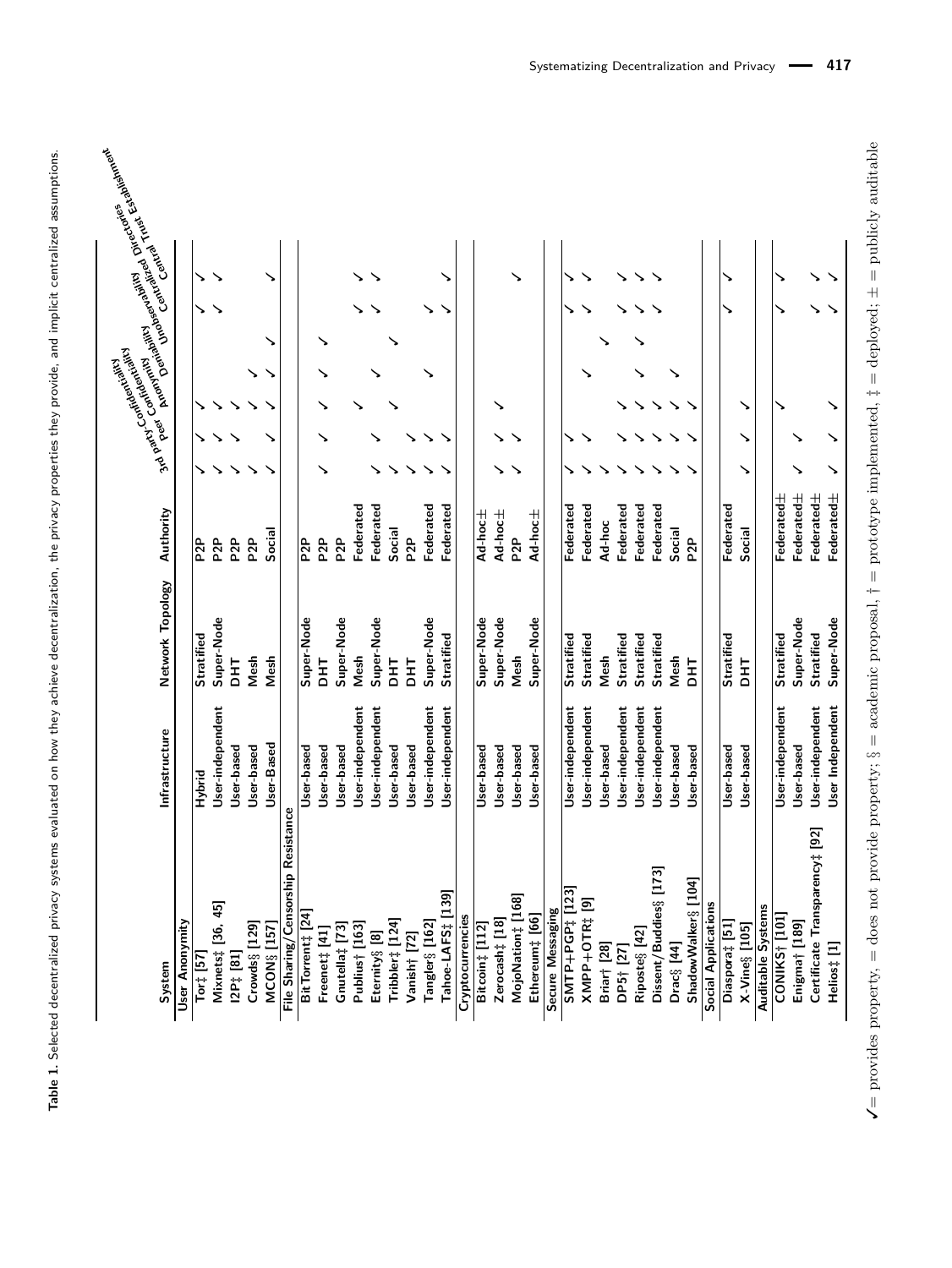<span id="page-13-0"></span>

| System                                 | Infrastructure   | Network Topology  | Authority        |   |   | <b>Fallider</b><br>Food Confidentiality<br>State American Prime Regional Prime | . Killige Agental | in Control Control Parker Cannon |
|----------------------------------------|------------------|-------------------|------------------|---|---|--------------------------------------------------------------------------------|-------------------|----------------------------------|
| User Anonymity                         |                  |                   |                  |   |   |                                                                                |                   |                                  |
| Tort [57]                              | Hybrid           | <b>Stratified</b> | P <sub>2P</sub>  |   |   |                                                                                |                   |                                  |
| Mixnets‡ [36, 45]                      | User-independent | Super-Node        | P <sub>2P</sub>  |   |   |                                                                                |                   |                                  |
| $12P_{+}$ $[81]$                       | User-based       | <b>HH</b>         | P <sub>2</sub> P |   |   |                                                                                |                   |                                  |
| $Crowds$ § [129]                       | User-based       | Mesh              | P <sub>2P</sub>  |   |   |                                                                                |                   |                                  |
| MCON§ [157]                            | User-Based       | Mesh              | Social           |   |   |                                                                                |                   |                                  |
| Censorship Resistance<br>File Sharing/ |                  |                   |                  |   |   |                                                                                |                   |                                  |
| BitTorrent‡ [24]                       | User-based       | Super-Node        | P <sub>2P</sub>  |   |   |                                                                                |                   |                                  |
| Freenet‡ [41]                          | User-based       | <b>THO</b>        | P <sub>2P</sub>  | ↘ |   |                                                                                |                   |                                  |
| Gnutella‡ [73]                         | User-based       | Super-Node        | P <sub>2</sub> P |   |   |                                                                                |                   |                                  |
| Publius† [163                          | User-independent | Mesh              | Federated        |   |   |                                                                                |                   |                                  |
| Eternity§ [8]                          | User-independent | Super-Node        | Federated        |   |   |                                                                                |                   |                                  |
| Tribbler‡ [124]                        | User-based       | <b>HE</b>         | Social           |   |   |                                                                                |                   |                                  |
| Vanish† [72]                           | User-based       | <b>HH</b>         | P <sub>2P</sub>  |   |   |                                                                                |                   |                                  |
| Tangler§ [162]                         | User-independent | Super-Node        | Federated        |   |   |                                                                                |                   |                                  |
| [139]<br>Tahoe-LAFS‡                   | User-independent | <b>Stratified</b> | Federated        |   |   |                                                                                |                   |                                  |
| Cryptocurrencies                       |                  |                   |                  |   |   |                                                                                |                   |                                  |
| Bitcoin‡ [112]                         | User-based       | Super-Node        | $Ad-hoc \pm$     |   |   |                                                                                |                   |                                  |
| Zerocash‡ [18]                         | User-based       | Super-Node        | Ad-hoc $\pm$     |   |   |                                                                                |                   |                                  |
| MojoNation‡ [168]                      | User-based       | Mesh              | P <sub>2</sub> P |   |   |                                                                                |                   |                                  |
| Ethereum# [66]                         | User-based       | Super-Node        | Ad-hoc $\pm$     |   |   |                                                                                |                   |                                  |
| Secure Messaging                       |                  |                   |                  |   |   |                                                                                |                   |                                  |
| <b>SMTP+PGP#</b> [123]                 | User-independent | <b>Stratified</b> | Federated        |   |   |                                                                                |                   |                                  |
| XMPP+OTR# [9]                          | User-independent | Stratified        | Federated        |   |   |                                                                                |                   |                                  |
| Briar† [28]                            | User-based       | Mesh              | Ad-hoc           |   |   |                                                                                |                   |                                  |
| DP5† [27]                              | User-independent | <b>Stratified</b> | Federated        |   |   |                                                                                |                   |                                  |
| Riposte§                               | User-independent | <b>Stratified</b> | Federated        |   |   |                                                                                |                   |                                  |
| Dissent/Buddies§ [173]                 | User-independent | Stratified        | Federated        |   |   |                                                                                |                   |                                  |
| $Drac\$ [44]                           | User-based       | Mesh              | Social           |   |   |                                                                                |                   |                                  |
| ShadowWalker§ [104]                    | User-based       | <b>THO</b>        | P <sub>2</sub> P |   |   |                                                                                |                   |                                  |
| Social Applications                    |                  |                   |                  |   |   |                                                                                |                   |                                  |
| Diaspora‡ [51]                         | User-based       | <b>Stratified</b> | Federated        |   |   |                                                                                |                   |                                  |
| $X-Vine$ § $[105]$                     | User-based       | <b>THO</b>        | Social           |   | ↘ |                                                                                |                   |                                  |
| Auditable Systems                      |                  |                   |                  |   |   |                                                                                |                   |                                  |
| CONIKS† [101                           | User-independent | <b>Stratified</b> | Federated $\pm$  |   |   |                                                                                |                   |                                  |
| Enigma† [189]                          | User-based       | Super-Node        | Federated±       |   |   |                                                                                |                   |                                  |
| [92]<br>Certificate Transparency#      | User-independent | <b>Stratified</b> | Federated±       |   |   |                                                                                |                   |                                  |
| Helios‡ [1]                            | User Independent | Super-Node        | Federated $\pm$  | ↘ | ↘ |                                                                                |                   |                                  |
|                                        |                  |                   |                  |   |   |                                                                                |                   |                                  |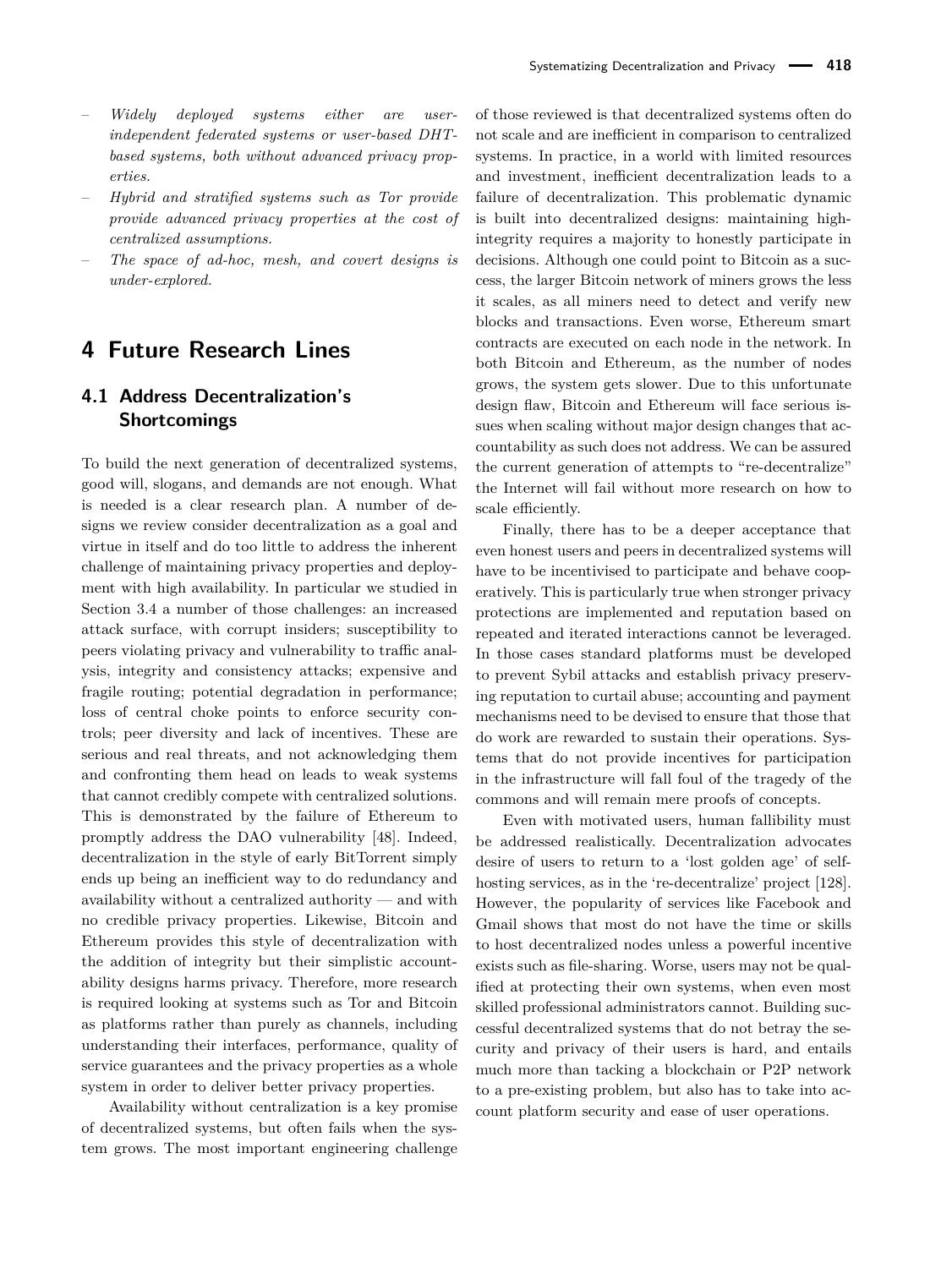- *Widely deployed systems either are userindependent federated systems or user-based DHTbased systems, both without advanced privacy properties.*
- *Hybrid and stratified systems such as Tor provide provide advanced privacy properties at the cost of centralized assumptions.*
- *The space of ad-hoc, mesh, and covert designs is under-explored.*

# **4 Future Research Lines**

# **4.1 Address Decentralization's Shortcomings**

To build the next generation of decentralized systems, good will, slogans, and demands are not enough. What is needed is a clear research plan. A number of designs we review consider decentralization as a goal and virtue in itself and do too little to address the inherent challenge of maintaining privacy properties and deployment with high availability. In particular we studied in Section [3.4](#page-9-0) a number of those challenges: an increased attack surface, with corrupt insiders; susceptibility to peers violating privacy and vulnerability to traffic analysis, integrity and consistency attacks; expensive and fragile routing; potential degradation in performance; loss of central choke points to enforce security controls; peer diversity and lack of incentives. These are serious and real threats, and not acknowledging them and confronting them head on leads to weak systems that cannot credibly compete with centralized solutions. This is demonstrated by the failure of Ethereum to promptly address the DAO vulnerability [\[48\]](#page-18-32). Indeed, decentralization in the style of early BitTorrent simply ends up being an inefficient way to do redundancy and availability without a centralized authority — and with no credible privacy properties. Likewise, Bitcoin and Ethereum provides this style of decentralization with the addition of integrity but their simplistic accountability designs harms privacy. Therefore, more research is required looking at systems such as Tor and Bitcoin as platforms rather than purely as channels, including understanding their interfaces, performance, quality of service guarantees and the privacy properties as a whole system in order to deliver better privacy properties.

Availability without centralization is a key promise of decentralized systems, but often fails when the system grows. The most important engineering challenge

of those reviewed is that decentralized systems often do not scale and are inefficient in comparison to centralized systems. In practice, in a world with limited resources and investment, inefficient decentralization leads to a failure of decentralization. This problematic dynamic is built into decentralized designs: maintaining highintegrity requires a majority to honestly participate in decisions. Although one could point to Bitcoin as a success, the larger Bitcoin network of miners grows the less it scales, as all miners need to detect and verify new blocks and transactions. Even worse, Ethereum smart contracts are executed on each node in the network. In both Bitcoin and Ethereum, as the number of nodes grows, the system gets slower. Due to this unfortunate design flaw, Bitcoin and Ethereum will face serious issues when scaling without major design changes that accountability as such does not address. We can be assured the current generation of attempts to "re-decentralize" the Internet will fail without more research on how to scale efficiently.

Finally, there has to be a deeper acceptance that even honest users and peers in decentralized systems will have to be incentivised to participate and behave cooperatively. This is particularly true when stronger privacy protections are implemented and reputation based on repeated and iterated interactions cannot be leveraged. In those cases standard platforms must be developed to prevent Sybil attacks and establish privacy preserving reputation to curtail abuse; accounting and payment mechanisms need to be devised to ensure that those that do work are rewarded to sustain their operations. Systems that do not provide incentives for participation in the infrastructure will fall foul of the tragedy of the commons and will remain mere proofs of concepts.

Even with motivated users, human fallibility must be addressed realistically. Decentralization advocates desire of users to return to a 'lost golden age' of self-hosting services, as in the 're-decentralize' project [\[128\]](#page-21-0). However, the popularity of services like Facebook and Gmail shows that most do not have the time or skills to host decentralized nodes unless a powerful incentive exists such as file-sharing. Worse, users may not be qualified at protecting their own systems, when even most skilled professional administrators cannot. Building successful decentralized systems that do not betray the security and privacy of their users is hard, and entails much more than tacking a blockchain or P2P network to a pre-existing problem, but also has to take into account platform security and ease of user operations.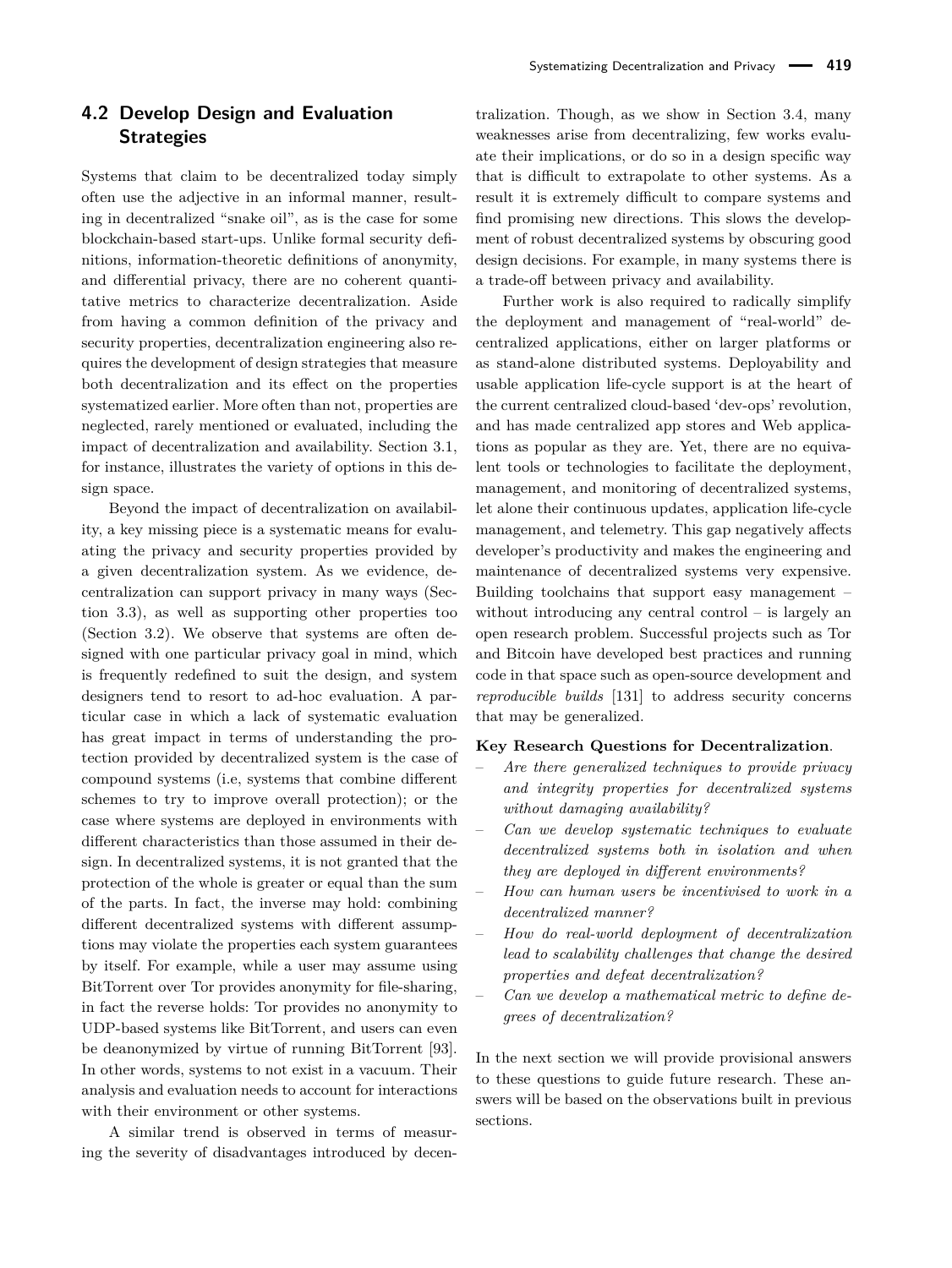Systems that claim to be decentralized today simply often use the adjective in an informal manner, resulting in decentralized "snake oil", as is the case for some blockchain-based start-ups. Unlike formal security definitions, information-theoretic definitions of anonymity, and differential privacy, there are no coherent quantitative metrics to characterize decentralization. Aside from having a common definition of the privacy and security properties, decentralization engineering also requires the development of design strategies that measure both decentralization and its effect on the properties systematized earlier. More often than not, properties are neglected, rarely mentioned or evaluated, including the impact of decentralization and availability. Section [3.1,](#page-2-1) for instance, illustrates the variety of options in this design space.

**Strategies**

Beyond the impact of decentralization on availability, a key missing piece is a systematic means for evaluating the privacy and security properties provided by a given decentralization system. As we evidence, decentralization can support privacy in many ways (Section [3.3\)](#page-8-0), as well as supporting other properties too (Section [3.2\)](#page-6-0). We observe that systems are often designed with one particular privacy goal in mind, which is frequently redefined to suit the design, and system designers tend to resort to ad-hoc evaluation. A particular case in which a lack of systematic evaluation has great impact in terms of understanding the protection provided by decentralized system is the case of compound systems (i.e, systems that combine different schemes to try to improve overall protection); or the case where systems are deployed in environments with different characteristics than those assumed in their design. In decentralized systems, it is not granted that the protection of the whole is greater or equal than the sum of the parts. In fact, the inverse may hold: combining different decentralized systems with different assumptions may violate the properties each system guarantees by itself. For example, while a user may assume using BitTorrent over Tor provides anonymity for file-sharing, in fact the reverse holds: Tor provides no anonymity to UDP-based systems like BitTorrent, and users can even be deanonymized by virtue of running BitTorrent [\[93\]](#page-20-35). In other words, systems to not exist in a vacuum. Their analysis and evaluation needs to account for interactions with their environment or other systems.

A similar trend is observed in terms of measuring the severity of disadvantages introduced by decentralization. Though, as we show in Section [3.4,](#page-9-0) many weaknesses arise from decentralizing, few works evaluate their implications, or do so in a design specific way that is difficult to extrapolate to other systems. As a result it is extremely difficult to compare systems and find promising new directions. This slows the development of robust decentralized systems by obscuring good design decisions. For example, in many systems there is a trade-off between privacy and availability.

Further work is also required to radically simplify the deployment and management of "real-world" decentralized applications, either on larger platforms or as stand-alone distributed systems. Deployability and usable application life-cycle support is at the heart of the current centralized cloud-based 'dev-ops' revolution, and has made centralized app stores and Web applications as popular as they are. Yet, there are no equivalent tools or technologies to facilitate the deployment, management, and monitoring of decentralized systems, let alone their continuous updates, application life-cycle management, and telemetry. This gap negatively affects developer's productivity and makes the engineering and maintenance of decentralized systems very expensive. Building toolchains that support easy management – without introducing any central control – is largely an open research problem. Successful projects such as Tor and Bitcoin have developed best practices and running code in that space such as open-source development and *reproducible builds* [\[131\]](#page-21-36) to address security concerns that may be generalized.

#### **Key Research Questions for Decentralization**.

- *Are there generalized techniques to provide privacy and integrity properties for decentralized systems without damaging availability?*
- *Can we develop systematic techniques to evaluate decentralized systems both in isolation and when they are deployed in different environments?*
- *How can human users be incentivised to work in a decentralized manner?*
- *How do real-world deployment of decentralization lead to scalability challenges that change the desired properties and defeat decentralization?*
- *Can we develop a mathematical metric to define degrees of decentralization?*

In the next section we will provide provisional answers to these questions to guide future research. These answers will be based on the observations built in previous sections.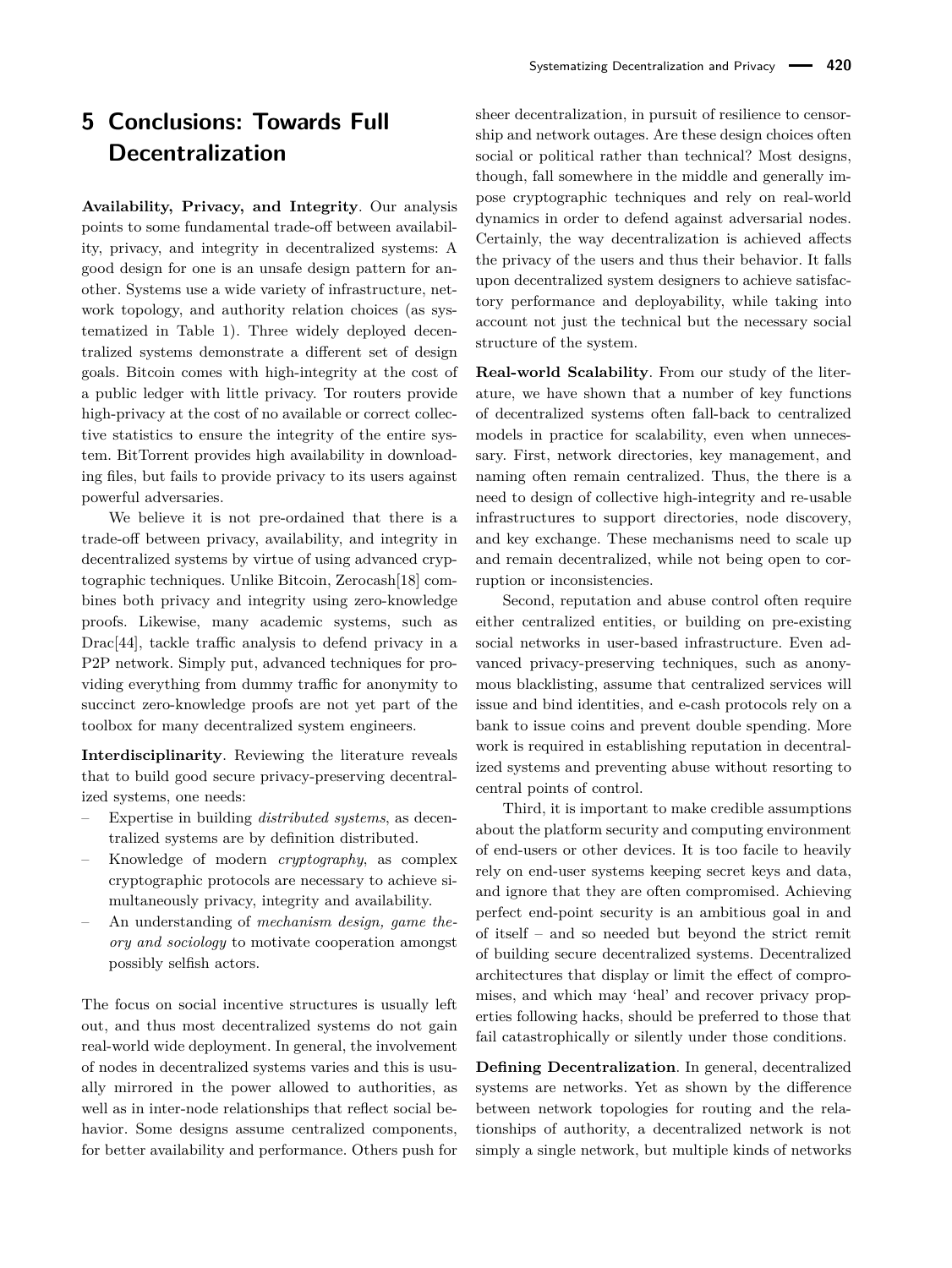# **5 Conclusions: Towards Full Decentralization**

**Availability, Privacy, and Integrity**. Our analysis points to some fundamental trade-off between availability, privacy, and integrity in decentralized systems: A good design for one is an unsafe design pattern for another. Systems use a wide variety of infrastructure, network topology, and authority relation choices (as systematized in Table [1\)](#page-13-0). Three widely deployed decentralized systems demonstrate a different set of design goals. Bitcoin comes with high-integrity at the cost of a public ledger with little privacy. Tor routers provide high-privacy at the cost of no available or correct collective statistics to ensure the integrity of the entire system. BitTorrent provides high availability in downloading files, but fails to provide privacy to its users against powerful adversaries.

We believe it is not pre-ordained that there is a trade-off between privacy, availability, and integrity in decentralized systems by virtue of using advanced cryptographic techniques. Unlike Bitcoin, Zerocash[\[18\]](#page-18-15) combines both privacy and integrity using zero-knowledge proofs. Likewise, many academic systems, such as Drac[\[44\]](#page-18-14), tackle traffic analysis to defend privacy in a P2P network. Simply put, advanced techniques for providing everything from dummy traffic for anonymity to succinct zero-knowledge proofs are not yet part of the toolbox for many decentralized system engineers.

**Interdisciplinarity**. Reviewing the literature reveals that to build good secure privacy-preserving decentralized systems, one needs:

- Expertise in building *distributed systems*, as decentralized systems are by definition distributed.
- Knowledge of modern *cryptography*, as complex cryptographic protocols are necessary to achieve simultaneously privacy, integrity and availability.
- An understanding of *mechanism design, game theory and sociology* to motivate cooperation amongst possibly selfish actors.

The focus on social incentive structures is usually left out, and thus most decentralized systems do not gain real-world wide deployment. In general, the involvement of nodes in decentralized systems varies and this is usually mirrored in the power allowed to authorities, as well as in inter-node relationships that reflect social behavior. Some designs assume centralized components, for better availability and performance. Others push for sheer decentralization, in pursuit of resilience to censorship and network outages. Are these design choices often social or political rather than technical? Most designs, though, fall somewhere in the middle and generally impose cryptographic techniques and rely on real-world dynamics in order to defend against adversarial nodes. Certainly, the way decentralization is achieved affects the privacy of the users and thus their behavior. It falls upon decentralized system designers to achieve satisfactory performance and deployability, while taking into account not just the technical but the necessary social structure of the system.

**Real-world Scalability**. From our study of the literature, we have shown that a number of key functions of decentralized systems often fall-back to centralized models in practice for scalability, even when unnecessary. First, network directories, key management, and naming often remain centralized. Thus, the there is a need to design of collective high-integrity and re-usable infrastructures to support directories, node discovery, and key exchange. These mechanisms need to scale up and remain decentralized, while not being open to corruption or inconsistencies.

Second, reputation and abuse control often require either centralized entities, or building on pre-existing social networks in user-based infrastructure. Even advanced privacy-preserving techniques, such as anonymous blacklisting, assume that centralized services will issue and bind identities, and e-cash protocols rely on a bank to issue coins and prevent double spending. More work is required in establishing reputation in decentralized systems and preventing abuse without resorting to central points of control.

Third, it is important to make credible assumptions about the platform security and computing environment of end-users or other devices. It is too facile to heavily rely on end-user systems keeping secret keys and data, and ignore that they are often compromised. Achieving perfect end-point security is an ambitious goal in and of itself – and so needed but beyond the strict remit of building secure decentralized systems. Decentralized architectures that display or limit the effect of compromises, and which may 'heal' and recover privacy properties following hacks, should be preferred to those that fail catastrophically or silently under those conditions.

**Defining Decentralization**. In general, decentralized systems are networks. Yet as shown by the difference between network topologies for routing and the relationships of authority, a decentralized network is not simply a single network, but multiple kinds of networks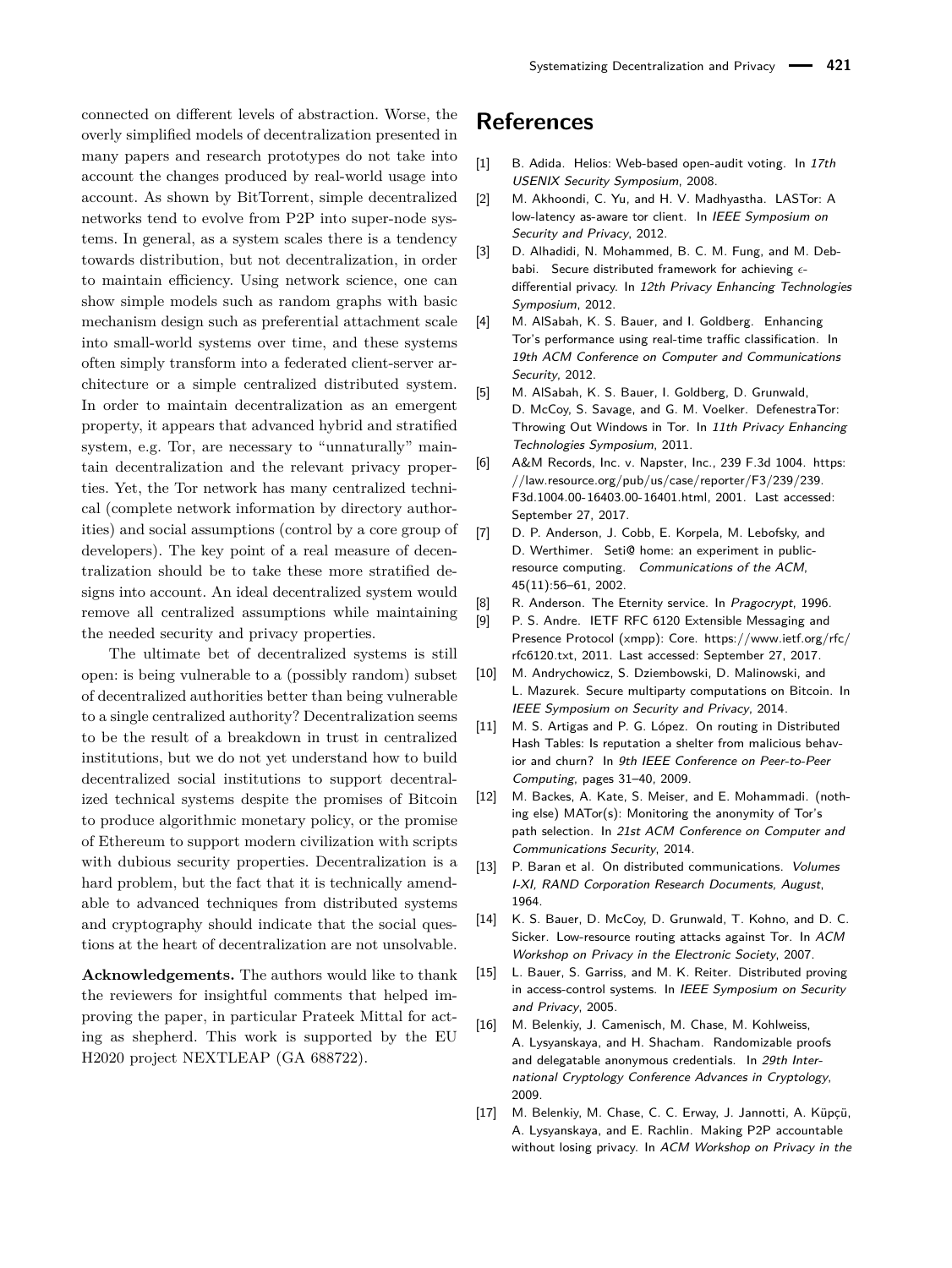connected on different levels of abstraction. Worse, the overly simplified models of decentralization presented in many papers and research prototypes do not take into account the changes produced by real-world usage into account. As shown by BitTorrent, simple decentralized networks tend to evolve from P2P into super-node systems. In general, as a system scales there is a tendency towards distribution, but not decentralization, in order to maintain efficiency. Using network science, one can show simple models such as random graphs with basic mechanism design such as preferential attachment scale into small-world systems over time, and these systems often simply transform into a federated client-server architecture or a simple centralized distributed system. In order to maintain decentralization as an emergent property, it appears that advanced hybrid and stratified system, e.g. Tor, are necessary to "unnaturally" maintain decentralization and the relevant privacy properties. Yet, the Tor network has many centralized technical (complete network information by directory authorities) and social assumptions (control by a core group of developers). The key point of a real measure of decentralization should be to take these more stratified designs into account. An ideal decentralized system would remove all centralized assumptions while maintaining the needed security and privacy properties.

The ultimate bet of decentralized systems is still open: is being vulnerable to a (possibly random) subset of decentralized authorities better than being vulnerable to a single centralized authority? Decentralization seems to be the result of a breakdown in trust in centralized institutions, but we do not yet understand how to build decentralized social institutions to support decentralized technical systems despite the promises of Bitcoin to produce algorithmic monetary policy, or the promise of Ethereum to support modern civilization with scripts with dubious security properties. Decentralization is a hard problem, but the fact that it is technically amendable to advanced techniques from distributed systems and cryptography should indicate that the social questions at the heart of decentralization are not unsolvable.

**Acknowledgements.** The authors would like to thank the reviewers for insightful comments that helped improving the paper, in particular Prateek Mittal for acting as shepherd. This work is supported by the EU H2020 project NEXTLEAP (GA 688722).

# **References**

- <span id="page-17-6"></span>[1] B. Adida. Helios: Web-based open-audit voting. In 17th USENIX Security Symposium, 2008.
- <span id="page-17-13"></span>[2] M. Akhoondi, C. Yu, and H. V. Madhyastha. LASTor: A low-latency as-aware tor client. In IEEE Symposium on Security and Privacy, 2012.
- <span id="page-17-5"></span>[3] D. Alhadidi, N. Mohammed, B. C. M. Fung, and M. Debbabi. Secure distributed framework for achieving  $\epsilon$ differential privacy. In 12th Privacy Enhancing Technologies Symposium, 2012.
- <span id="page-17-10"></span>[4] M. AlSabah, K. S. Bauer, and I. Goldberg. Enhancing Tor's performance using real-time traffic classification. In 19th ACM Conference on Computer and Communications Security, 2012.
- <span id="page-17-11"></span>[5] M. AlSabah, K. S. Bauer, I. Goldberg, D. Grunwald, D. McCoy, S. Savage, and G. M. Voelker. DefenestraTor: Throwing Out Windows in Tor. In 11th Privacy Enhancing Technologies Symposium, 2011.
- <span id="page-17-1"></span>[6] A&M Records, Inc. v. Napster, Inc., 239 F.3d 1004. [https:](https://law.resource.org/pub/us/case/reporter/F3/239/239.F3d.1004.00-16403.00-16401.html) [//law.resource.org/pub/us/case/reporter/F3/239/239.](https://law.resource.org/pub/us/case/reporter/F3/239/239.F3d.1004.00-16403.00-16401.html) [F3d.1004.00-16403.00-16401.html,](https://law.resource.org/pub/us/case/reporter/F3/239/239.F3d.1004.00-16403.00-16401.html) 2001. Last accessed: September 27, 2017.
- <span id="page-17-8"></span>[7] D. P. Anderson, J. Cobb, E. Korpela, M. Lebofsky, and D. Werthimer. Seti@ home: an experiment in publicresource computing. Communications of the ACM, 45(11):56–61, 2002.
- <span id="page-17-0"></span>[8] R. Anderson. The Eternity service. In Pragocrypt, 1996.
- <span id="page-17-3"></span>[9] P. S. Andre. IETF RFC 6120 Extensible Messaging and Presence Protocol (xmpp): Core. [https://www.ietf.org/rfc/](https://www.ietf.org/rfc/rfc6120.txt) [rfc6120.txt,](https://www.ietf.org/rfc/rfc6120.txt) 2011. Last accessed: September 27, 2017.
- <span id="page-17-4"></span>[10] M. Andrychowicz, S. Dziembowski, D. Malinowski, and L. Mazurek. Secure multiparty computations on Bitcoin. In IEEE Symposium on Security and Privacy, 2014.
- <span id="page-17-9"></span>[11] M. S. Artigas and P. G. López. On routing in Distributed Hash Tables: Is reputation a shelter from malicious behavior and churn? In 9th IEEE Conference on Peer-to-Peer Computing, pages 31–40, 2009.
- <span id="page-17-14"></span>[12] M. Backes, A. Kate, S. Meiser, and E. Mohammadi. (nothing else) MATor(s): Monitoring the anonymity of Tor's path selection. In 21st ACM Conference on Computer and Communications Security, 2014.
- <span id="page-17-2"></span>[13] P. Baran et al. On distributed communications. Volumes I-XI, RAND Corporation Research Documents, August, 1964.
- <span id="page-17-15"></span>[14] K. S. Bauer, D. McCoy, D. Grunwald, T. Kohno, and D. C. Sicker. Low-resource routing attacks against Tor. In ACM Workshop on Privacy in the Electronic Society, 2007.
- <span id="page-17-7"></span>[15] L. Bauer, S. Garriss, and M. K. Reiter. Distributed proving in access-control systems. In IEEE Symposium on Security and Privacy, 2005.
- <span id="page-17-16"></span>[16] M. Belenkiy, J. Camenisch, M. Chase, M. Kohlweiss, A. Lysyanskaya, and H. Shacham. Randomizable proofs and delegatable anonymous credentials. In 29th International Cryptology Conference Advances in Cryptology, 2009.
- <span id="page-17-12"></span>[17] M. Belenkiy, M. Chase, C. C. Erway, J. Jannotti, A. Küpçü, A. Lysyanskaya, and E. Rachlin. Making P2P accountable without losing privacy. In ACM Workshop on Privacy in the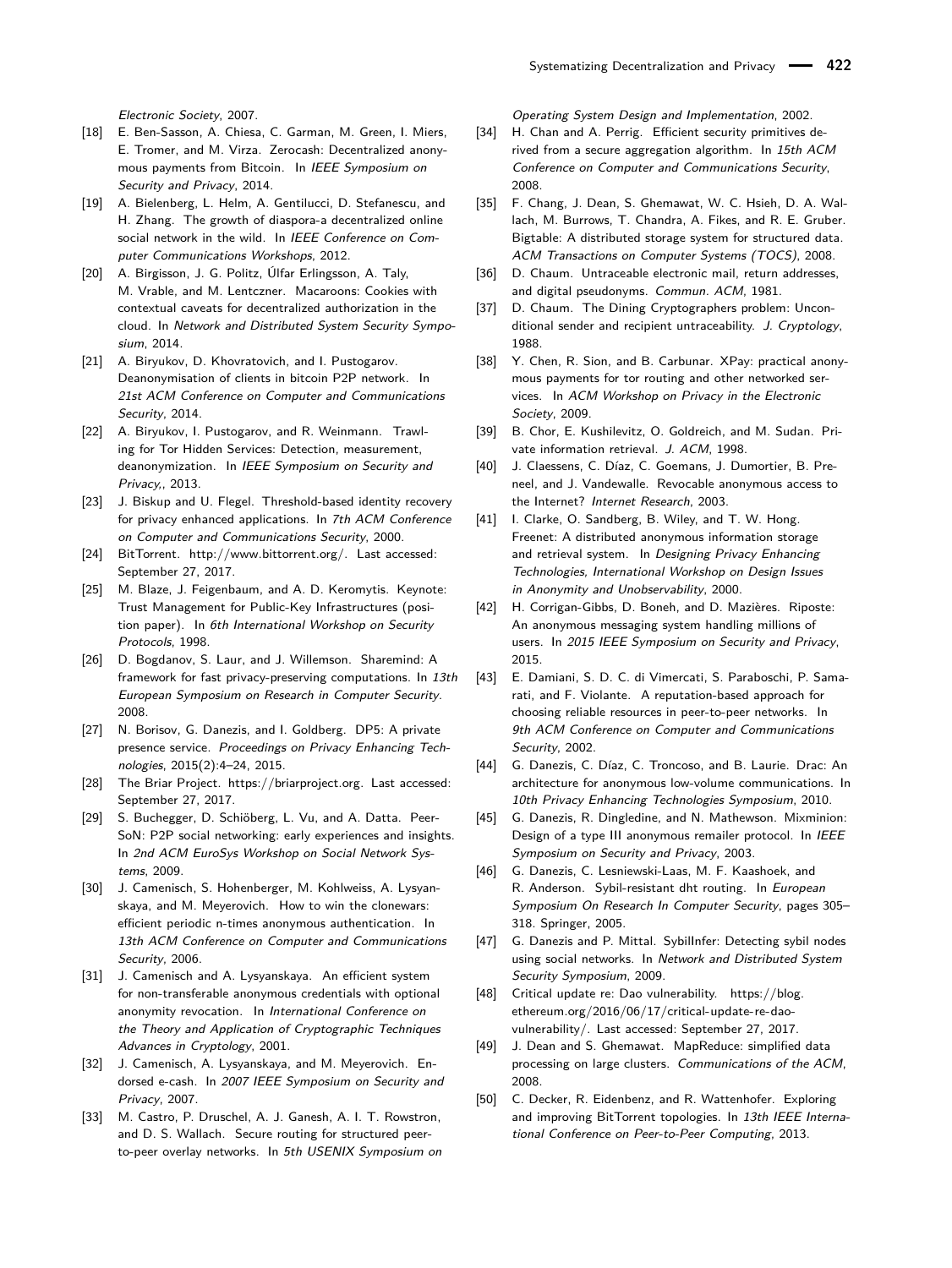Electronic Society, 2007.

- <span id="page-18-15"></span>[18] E. Ben-Sasson, A. Chiesa, C. Garman, M. Green, I. Miers, E. Tromer, and M. Virza. Zerocash: Decentralized anonymous payments from Bitcoin. In IEEE Symposium on Security and Privacy, 2014.
- <span id="page-18-17"></span>[19] A. Bielenberg, L. Helm, A. Gentilucci, D. Stefanescu, and H. Zhang. The growth of diaspora-a decentralized online social network in the wild. In IEEE Conference on Computer Communications Workshops, 2012.
- <span id="page-18-28"></span>[20] A. Birgisson, J. G. Politz, Úlfar Erlingsson, A. Taly, M. Vrable, and M. Lentczner. Macaroons: Cookies with contextual caveats for decentralized authorization in the cloud. In Network and Distributed System Security Symposium, 2014.
- <span id="page-18-18"></span>[21] A. Biryukov, D. Khovratovich, and I. Pustogarov. Deanonymisation of clients in bitcoin P2P network. In 21st ACM Conference on Computer and Communications Security, 2014.
- <span id="page-18-21"></span>[22] A. Biryukov, I. Pustogarov, and R. Weinmann. Trawling for Tor Hidden Services: Detection, measurement, deanonymization. In IEEE Symposium on Security and Privacy,, 2013.
- <span id="page-18-29"></span>[23] J. Biskup and U. Flegel. Threshold-based identity recovery for privacy enhanced applications. In 7th ACM Conference on Computer and Communications Security, 2000.
- <span id="page-18-0"></span>[24] BitTorrent. [http://www.bittorrent.org/.](http://www.bittorrent.org/) Last accessed: September 27, 2017.
- <span id="page-18-16"></span>[25] M. Blaze, J. Feigenbaum, and A. D. Keromytis. Keynote: Trust Management for Public-Key Infrastructures (position paper). In 6th International Workshop on Security Protocols, 1998.
- <span id="page-18-9"></span>[26] D. Bogdanov, S. Laur, and J. Willemson. Sharemind: A framework for fast privacy-preserving computations. In 13th European Symposium on Research in Computer Security. 2008.
- <span id="page-18-4"></span>[27] N. Borisov, G. Danezis, and I. Goldberg. DP5: A private presence service. Proceedings on Privacy Enhancing Technologies, 2015(2):4–24, 2015.
- <span id="page-18-10"></span>[28] The Briar Project. [https://briarproject.org.](https://briarproject.org) Last accessed: September 27, 2017.
- <span id="page-18-25"></span>[29] S. Buchegger, D. Schiöberg, L. Vu, and A. Datta. Peer-SoN: P2P social networking: early experiences and insights. In 2nd ACM EuroSys Workshop on Social Network Systems, 2009.
- <span id="page-18-26"></span>[30] J. Camenisch, S. Hohenberger, M. Kohlweiss, A. Lysyanskaya, and M. Meyerovich. How to win the clonewars: efficient periodic n-times anonymous authentication. In 13th ACM Conference on Computer and Communications Security, 2006.
- <span id="page-18-27"></span>[31] J. Camenisch and A. Lysyanskaya. An efficient system for non-transferable anonymous credentials with optional anonymity revocation. In International Conference on the Theory and Application of Cryptographic Techniques Advances in Cryptology, 2001.
- <span id="page-18-31"></span>[32] J. Camenisch, A. Lysyanskaya, and M. Meyerovich. Endorsed e-cash. In 2007 IEEE Symposium on Security and Privacy, 2007.
- <span id="page-18-24"></span>[33] M. Castro, P. Druschel, A. J. Ganesh, A. I. T. Rowstron, and D. S. Wallach. Secure routing for structured peerto-peer overlay networks. In 5th USENIX Symposium on

Operating System Design and Implementation, 2002.

- <span id="page-18-23"></span>[34] H. Chan and A. Perrig. Efficient security primitives derived from a secure aggregation algorithm. In 15th ACM Conference on Computer and Communications Security, 2008.
- <span id="page-18-1"></span>[35] F. Chang, J. Dean, S. Ghemawat, W. C. Hsieh, D. A. Wallach, M. Burrows, T. Chandra, A. Fikes, and R. E. Gruber. Bigtable: A distributed storage system for structured data. ACM Transactions on Computer Systems (TOCS), 2008.
- <span id="page-18-7"></span>[36] D. Chaum. Untraceable electronic mail, return addresses, and digital pseudonyms. Commun. ACM, 1981.
- <span id="page-18-8"></span>[37] D. Chaum. The Dining Cryptographers problem: Unconditional sender and recipient untraceability. J. Cryptology, 1988.
- <span id="page-18-20"></span>[38] Y. Chen, R. Sion, and B. Carbunar. XPay: practical anonymous payments for tor routing and other networked services. In ACM Workshop on Privacy in the Electronic Society, 2009.
- <span id="page-18-6"></span>[39] B. Chor, E. Kushilevitz, O. Goldreich, and M. Sudan. Private information retrieval. J. ACM, 1998.
- <span id="page-18-30"></span>[40] J. Claessens, C. Díaz, C. Goemans, J. Dumortier, B. Preneel, and J. Vandewalle. Revocable anonymous access to the Internet? Internet Research, 2003.
- <span id="page-18-3"></span>[41] I. Clarke, O. Sandberg, B. Wiley, and T. W. Hong. Freenet: A distributed anonymous information storage and retrieval system. In Designing Privacy Enhancing Technologies, International Workshop on Design Issues in Anonymity and Unobservability, 2000.
- <span id="page-18-5"></span>[42] H. Corrigan-Gibbs, D. Boneh, and D. Mazières. Riposte: An anonymous messaging system handling millions of users. In 2015 IEEE Symposium on Security and Privacy, 2015.
- <span id="page-18-12"></span>[43] E. Damiani, S. D. C. di Vimercati, S. Paraboschi, P. Samarati, and F. Violante. A reputation-based approach for choosing reliable resources in peer-to-peer networks. In 9th ACM Conference on Computer and Communications Security, 2002.
- <span id="page-18-14"></span>[44] G. Danezis, C. Díaz, C. Troncoso, and B. Laurie. Drac: An architecture for anonymous low-volume communications. In 10th Privacy Enhancing Technologies Symposium, 2010.
- <span id="page-18-19"></span>[45] G. Danezis, R. Dingledine, and N. Mathewson. Mixminion: Design of a type III anonymous remailer protocol. In IEEE Symposium on Security and Privacy, 2003.
- <span id="page-18-22"></span>[46] G. Danezis, C. Lesniewski-Laas, M. F. Kaashoek, and R. Anderson. Sybil-resistant dht routing. In European Symposium On Research In Computer Security, pages 305– 318. Springer, 2005.
- <span id="page-18-13"></span>[47] G. Danezis and P. Mittal. Sybillnfer: Detecting sybil nodes using social networks. In Network and Distributed System Security Symposium, 2009.
- <span id="page-18-32"></span>[48] Critical update re: Dao vulnerability. [https://blog.](https://blog.ethereum.org/2016/06/17/critical-update-re-dao-vulnerability/) [ethereum.org/2016/06/17/critical-update-re-dao](https://blog.ethereum.org/2016/06/17/critical-update-re-dao-vulnerability/)[vulnerability/.](https://blog.ethereum.org/2016/06/17/critical-update-re-dao-vulnerability/) Last accessed: September 27, 2017.
- <span id="page-18-2"></span>[49] J. Dean and S. Ghemawat. MapReduce: simplified data processing on large clusters. Communications of the ACM, 2008.
- <span id="page-18-11"></span>[50] C. Decker, R. Eidenbenz, and R. Wattenhofer. Exploring and improving BitTorrent topologies. In 13th IEEE International Conference on Peer-to-Peer Computing, 2013.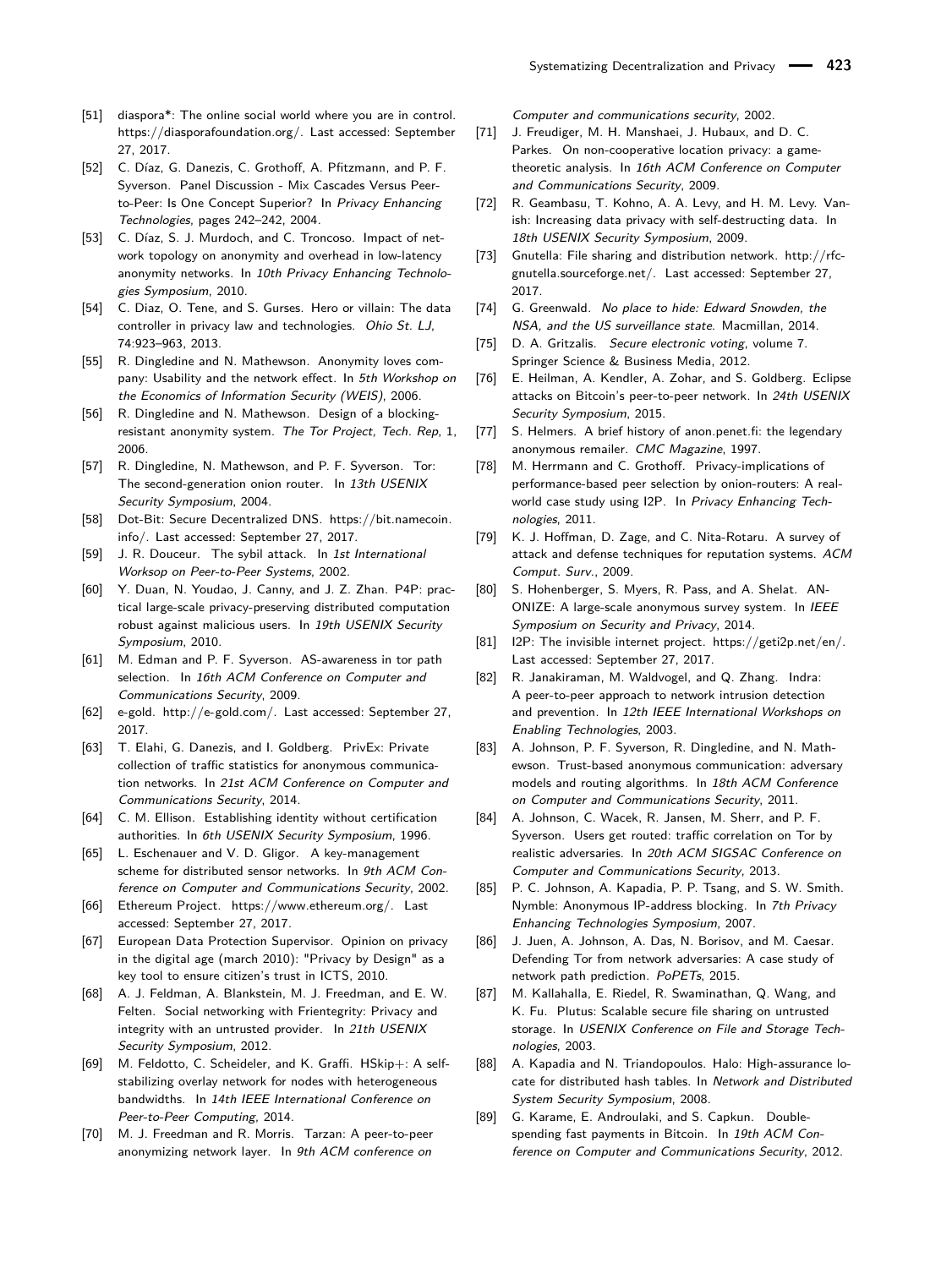- <span id="page-19-38"></span>[51] diaspora\*: The online social world where you are in control. [https://diasporafoundation.org/.](https://diasporafoundation.org/) Last accessed: September 27, 2017.
- <span id="page-19-7"></span>[52] C. Díaz, G. Danezis, C. Grothoff, A. Pfitzmann, and P. F. Syverson. Panel Discussion - Mix Cascades Versus Peerto-Peer: Is One Concept Superior? In Privacy Enhancing Technologies, pages 242–242, 2004.
- <span id="page-19-4"></span>[53] C. Díaz, S. J. Murdoch, and C. Troncoso. Impact of network topology on anonymity and overhead in low-latency anonymity networks. In 10th Privacy Enhancing Technologies Symposium, 2010.
- <span id="page-19-16"></span>[54] C. Diaz, O. Tene, and S. Gurses. Hero or villain: The data controller in privacy law and technologies. Ohio St. LJ, 74:923–963, 2013.
- <span id="page-19-24"></span>[55] R. Dingledine and N. Mathewson. Anonymity loves company: Usability and the network effect. In 5th Workshop on the Economics of Information Security (WEIS), 2006.
- <span id="page-19-14"></span>[56] R. Dingledine and N. Mathewson. Design of a blockingresistant anonymity system. The Tor Project, Tech. Rep, 1, 2006.
- <span id="page-19-0"></span>[57] R. Dingledine, N. Mathewson, and P. F. Syverson. Tor: The second-generation onion router. In 13th USENIX Security Symposium, 2004.
- <span id="page-19-29"></span>[58] Dot-Bit: Secure Decentralized DNS. [https://bit.namecoin.](https://bit.namecoin.info/) [info/.](https://bit.namecoin.info/) Last accessed: September 27, 2017.
- <span id="page-19-8"></span>[59] J. R. Douceur. The sybil attack. In 1st International Worksop on Peer-to-Peer Systems, 2002.
- <span id="page-19-18"></span>[60] Y. Duan, N. Youdao, J. Canny, and J. Z. Zhan. P4P: practical large-scale privacy-preserving distributed computation robust against malicious users. In 19th USENIX Security Symposium, 2010.
- <span id="page-19-30"></span>[61] M. Edman and P. F. Syverson. AS-awareness in tor path selection. In 16th ACM Conference on Computer and Communications Security, 2009.
- <span id="page-19-3"></span>[62] e-gold. [http://e-gold.com/.](http://e-gold.com/) Last accessed: September 27, 2017.
- <span id="page-19-34"></span>[63] T. Elahi, G. Danezis, and I. Goldberg. PrivEx: Private collection of traffic statistics for anonymous communication networks. In 21st ACM Conference on Computer and Communications Security, 2014.
- <span id="page-19-12"></span>[64] C. M. Ellison. Establishing identity without certification authorities. In 6th USENIX Security Symposium, 1996.
- <span id="page-19-32"></span>[65] L. Eschenauer and V. D. Gligor. A key-management scheme for distributed sensor networks. In 9th ACM Conference on Computer and Communications Security, 2002.
- <span id="page-19-37"></span>[66] Ethereum Project. [https://www.ethereum.org/.](https://www.ethereum.org/) Last accessed: September 27, 2017.
- <span id="page-19-15"></span>[67] European Data Protection Supervisor. Opinion on privacy in the digital age (march 2010): "Privacy by Design" as a key tool to ensure citizen's trust in ICTS, 2010.
- <span id="page-19-13"></span>[68] A. J. Feldman, A. Blankstein, M. J. Freedman, and E. W. Felten. Social networking with Frientegrity: Privacy and integrity with an untrusted provider. In 21th USENIX Security Symposium, 2012.
- <span id="page-19-26"></span>[69] M. Feldotto, C. Scheideler, and K. Graffi. HSkip+: A selfstabilizing overlay network for nodes with heterogeneous bandwidths. In 14th IEEE International Conference on Peer-to-Peer Computing, 2014.
- <span id="page-19-19"></span>[70] M. J. Freedman and R. Morris. Tarzan: A peer-to-peer anonymizing network layer. In 9th ACM conference on

Computer and communications security, 2002.

- <span id="page-19-25"></span>[71] J. Freudiger, M. H. Manshaei, J. Hubaux, and D. C. Parkes. On non-cooperative location privacy: a gametheoretic analysis. In 16th ACM Conference on Computer and Communications Security, 2009.
- <span id="page-19-11"></span>[72] R. Geambasu, T. Kohno, A. A. Levy, and H. M. Levy. Vanish: Increasing data privacy with self-destructing data. In 18th USENIX Security Symposium, 2009.
- <span id="page-19-5"></span>[73] Gnutella: File sharing and distribution network. [http://rfc](http://rfc-gnutella.sourceforge.net/)[gnutella.sourceforge.net/.](http://rfc-gnutella.sourceforge.net/) Last accessed: September 27, 2017.
- <span id="page-19-1"></span>[74] G. Greenwald. No place to hide: Edward Snowden, the NSA, and the US surveillance state. Macmillan, 2014.
- <span id="page-19-10"></span>[75] D. A. Gritzalis. Secure electronic voting, volume 7. Springer Science & Business Media, 2012.
- <span id="page-19-23"></span>[76] E. Heilman, A. Kendler, A. Zohar, and S. Goldberg. Eclipse attacks on Bitcoin's peer-to-peer network. In 24th USENIX Security Symposium, 2015.
- <span id="page-19-2"></span>[77] S. Helmers. A brief history of anon.penet.fi: the legendary anonymous remailer. CMC Magazine, 1997.
- <span id="page-19-20"></span>[78] M. Herrmann and C. Grothoff. Privacy-implications of performance-based peer selection by onion-routers: A realworld case study using I2P. In Privacy Enhancing Technologies, 2011.
- <span id="page-19-28"></span>[79] K. J. Hoffman, D. Zage, and C. Nita-Rotaru. A survey of attack and defense techniques for reputation systems. ACM Comput. Surv., 2009.
- <span id="page-19-33"></span>[80] S. Hohenberger, S. Myers, R. Pass, and A. Shelat. AN-ONIZE: A large-scale anonymous survey system. In IEEE Symposium on Security and Privacy, 2014.
- <span id="page-19-36"></span>[81] I2P: The invisible internet project. [https://geti2p.net/en/.](https://geti2p.net/en/) Last accessed: September 27, 2017.
- <span id="page-19-21"></span>[82] R. Janakiraman, M. Waldvogel, and Q. Zhang. Indra: A peer-to-peer approach to network intrusion detection and prevention. In 12th IEEE International Workshops on Enabling Technologies, 2003.
- <span id="page-19-9"></span>[83] A. Johnson, P. F. Syverson, R. Dingledine, and N. Mathewson. Trust-based anonymous communication: adversary models and routing algorithms. In 18th ACM Conference on Computer and Communications Security, 2011.
- <span id="page-19-6"></span>[84] A. Johnson, C. Wacek, R. Jansen, M. Sherr, and P. F. Syverson. Users get routed: traffic correlation on Tor by realistic adversaries. In 20th ACM SIGSAC Conference on Computer and Communications Security, 2013.
- <span id="page-19-35"></span>[85] P. C. Johnson, A. Kapadia, P. P. Tsang, and S. W. Smith. Nymble: Anonymous IP-address blocking. In 7th Privacy Enhancing Technologies Symposium, 2007.
- <span id="page-19-31"></span>[86] J. Juen, A. Johnson, A. Das, N. Borisov, and M. Caesar. Defending Tor from network adversaries: A case study of network path prediction. PoPETs, 2015.
- <span id="page-19-17"></span>[87] M. Kallahalla, E. Riedel, R. Swaminathan, Q. Wang, and K. Fu. Plutus: Scalable secure file sharing on untrusted storage. In USENIX Conference on File and Storage Technologies, 2003.
- <span id="page-19-27"></span>[88] A. Kapadia and N. Triandopoulos. Halo: High-assurance locate for distributed hash tables. In Network and Distributed System Security Symposium, 2008.
- <span id="page-19-22"></span>[89] G. Karame, E. Androulaki, and S. Capkun. Doublespending fast payments in Bitcoin. In 19th ACM Conference on Computer and Communications Security, 2012.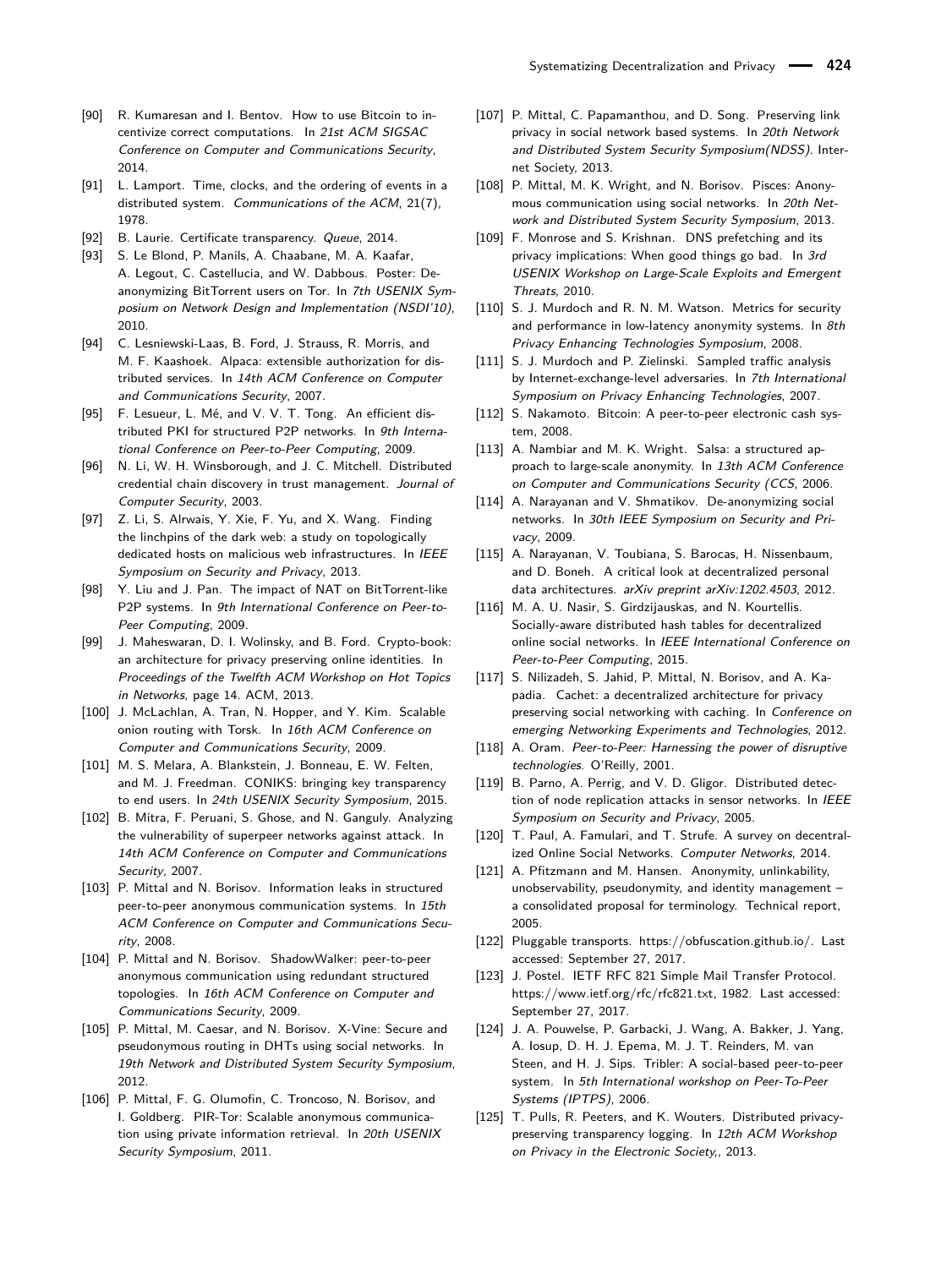- <span id="page-20-28"></span>[90] R. Kumaresan and I. Bentov. How to use Bitcoin to incentivize correct computations. In 21st ACM SIGSAC Conference on Computer and Communications Security, 2014.
- <span id="page-20-2"></span>[91] L. Lamport. Time, clocks, and the ordering of events in a distributed system. Communications of the ACM, 21(7), 1978.
- <span id="page-20-13"></span>[92] B. Laurie. Certificate transparency. Queue. 2014.
- <span id="page-20-35"></span>[93] S. Le Blond, P. Manils, A. Chaabane, M. A. Kaafar, A. Legout, C. Castellucia, and W. Dabbous. Poster: Deanonymizing BitTorrent users on Tor. In 7th USENIX Symposium on Network Design and Implementation (NSDI'10), 2010.
- <span id="page-20-33"></span>[94] C. Lesniewski-Laas, B. Ford, J. Strauss, R. Morris, and M. F. Kaashoek. Alpaca: extensible authorization for distributed services. In 14th ACM Conference on Computer and Communications Security, 2007.
- <span id="page-20-31"></span>[95] F. Lesueur, L. Mé, and V. V. T. Tong. An efficient distributed PKI for structured P2P networks. In 9th International Conference on Peer-to-Peer Computing, 2009.
- <span id="page-20-34"></span>[96] N. Li, W. H. Winsborough, and J. C. Mitchell. Distributed credential chain discovery in trust management. Journal of Computer Security, 2003.
- <span id="page-20-16"></span>[97] Z. Li, S. Alrwais, Y. Xie, F. Yu, and X. Wang. Finding the linchpins of the dark web: a study on topologically dedicated hosts on malicious web infrastructures. In IEEE Symposium on Security and Privacy, 2013.
- <span id="page-20-24"></span>[98] Y. Liu and J. Pan. The impact of NAT on BitTorrent-like P2P systems. In 9th International Conference on Peer-to-Peer Computing, 2009.
- <span id="page-20-32"></span>[99] J. Maheswaran, D. I. Wolinsky, and B. Ford. Crypto-book: an architecture for privacy preserving online identities. In Proceedings of the Twelfth ACM Workshop on Hot Topics in Networks, page 14. ACM, 2013.
- <span id="page-20-18"></span>[100] J. McLachlan, A. Tran, N. Hopper, and Y. Kim. Scalable onion routing with Torsk. In 16th ACM Conference on Computer and Communications Security, 2009.
- <span id="page-20-14"></span>[101] M. S. Melara, A. Blankstein, J. Bonneau, E. W. Felten, and M. J. Freedman. CONIKS: bringing key transparency to end users. In 24th USENIX Security Symposium, 2015.
- <span id="page-20-23"></span>[102] B. Mitra, F. Peruani, S. Ghose, and N. Ganguly. Analyzing the vulnerability of superpeer networks against attack. In 14th ACM Conference on Computer and Communications Security, 2007.
- <span id="page-20-21"></span>[103] P. Mittal and N. Borisov. Information leaks in structured peer-to-peer anonymous communication systems. In 15th ACM Conference on Computer and Communications Security, 2008.
- <span id="page-20-26"></span>[104] P. Mittal and N. Borisov. ShadowWalker: peer-to-peer anonymous communication using redundant structured topologies. In 16th ACM Conference on Computer and Communications Security, 2009.
- <span id="page-20-10"></span>[105] P. Mittal, M. Caesar, and N. Borisov. X-Vine: Secure and pseudonymous routing in DHTs using social networks. In 19th Network and Distributed System Security Symposium, 2012.
- <span id="page-20-30"></span>[106] P. Mittal, F. G. Olumofin, C. Troncoso, N. Borisov, and I. Goldberg. PIR-Tor: Scalable anonymous communication using private information retrieval. In 20th USENIX Security Symposium, 2011.
- <span id="page-20-8"></span>[107] P. Mittal, C. Papamanthou, and D. Song. Preserving link privacy in social network based systems. In 20th Network and Distributed System Security Symposium(NDSS). Internet Society, 2013.
- <span id="page-20-9"></span>[108] P. Mittal, M. K. Wright, and N. Borisov. Pisces: Anonymous communication using social networks. In 20th Network and Distributed System Security Symposium, 2013.
- <span id="page-20-29"></span>[109] F. Monrose and S. Krishnan. DNS prefetching and its privacy implications: When good things go bad. In 3rd USENIX Workshop on Large-Scale Exploits and Emergent Threats, 2010.
- <span id="page-20-27"></span>[110] S. J. Murdoch and R. N. M. Watson. Metrics for security and performance in low-latency anonymity systems. In 8th Privacy Enhancing Technologies Symposium, 2008.
- <span id="page-20-22"></span>[111] S. J. Murdoch and P. Zielinski. Sampled traffic analysis by Internet-exchange-level adversaries. In 7th International Symposium on Privacy Enhancing Technologies, 2007.
- <span id="page-20-0"></span>[112] S. Nakamoto. Bitcoin: A peer-to-peer electronic cash system, 2008.
- <span id="page-20-6"></span>[113] A. Nambiar and M. K. Wright. Salsa: a structured approach to large-scale anonymity. In 13th ACM Conference on Computer and Communications Security (CCS, 2006.
- <span id="page-20-7"></span>[114] A. Narayanan and V. Shmatikov. De-anonymizing social networks. In 30th IEEE Symposium on Security and Privacy, 2009.
- <span id="page-20-20"></span>[115] A. Narayanan, V. Toubiana, S. Barocas, H. Nissenbaum, and D. Boneh. A critical look at decentralized personal data architectures. arXiv preprint arXiv:1202.4503, 2012.
- <span id="page-20-12"></span>[116] M. A. U. Nasir, S. Girdzijauskas, and N. Kourtellis. Socially-aware distributed hash tables for decentralized online social networks. In IEEE International Conference on Peer-to-Peer Computing, 2015.
- <span id="page-20-4"></span>[117] S. Nilizadeh, S. Jahid, P. Mittal, N. Borisov, and A. Kapadia. Cachet: a decentralized architecture for privacy preserving social networking with caching. In Conference on emerging Networking Experiments and Technologies, 2012.
- <span id="page-20-1"></span>[118] A. Oram. Peer-to-Peer: Harnessing the power of disruptive technologies. O'Reilly, 2001.
- <span id="page-20-25"></span>[119] B. Parno, A. Perrig, and V. D. Gligor. Distributed detection of node replication attacks in sensor networks. In IEEE Symposium on Security and Privacy, 2005.
- <span id="page-20-15"></span>[120] T. Paul, A. Famulari, and T. Strufe. A survey on decentralized Online Social Networks. Computer Networks, 2014.
- <span id="page-20-3"></span>[121] A. Pfitzmann and M. Hansen. Anonymity, unlinkability, unobservability, pseudonymity, and identity management – a consolidated proposal for terminology. Technical report, 2005.
- <span id="page-20-19"></span>[122] Pluggable transports. [https://obfuscation.github.io/.](https://obfuscation.github.io/) Last accessed: September 27, 2017.
- <span id="page-20-5"></span>[123] J. Postel. IETF RFC 821 Simple Mail Transfer Protocol. [https://www.ietf.org/rfc/rfc821.txt,](https://www.ietf.org/rfc/rfc821.txt) 1982. Last accessed: September 27, 2017.
- <span id="page-20-11"></span>[124] J. A. Pouwelse, P. Garbacki, J. Wang, A. Bakker, J. Yang, A. Iosup, D. H. J. Epema, M. J. T. Reinders, M. van Steen, and H. J. Sips. Tribler: A social-based peer-to-peer system. In 5th International workshop on Peer-To-Peer Systems (IPTPS), 2006.
- <span id="page-20-17"></span>[125] T. Pulls, R. Peeters, and K. Wouters. Distributed privacypreserving transparency logging. In 12th ACM Workshop on Privacy in the Electronic Society,, 2013.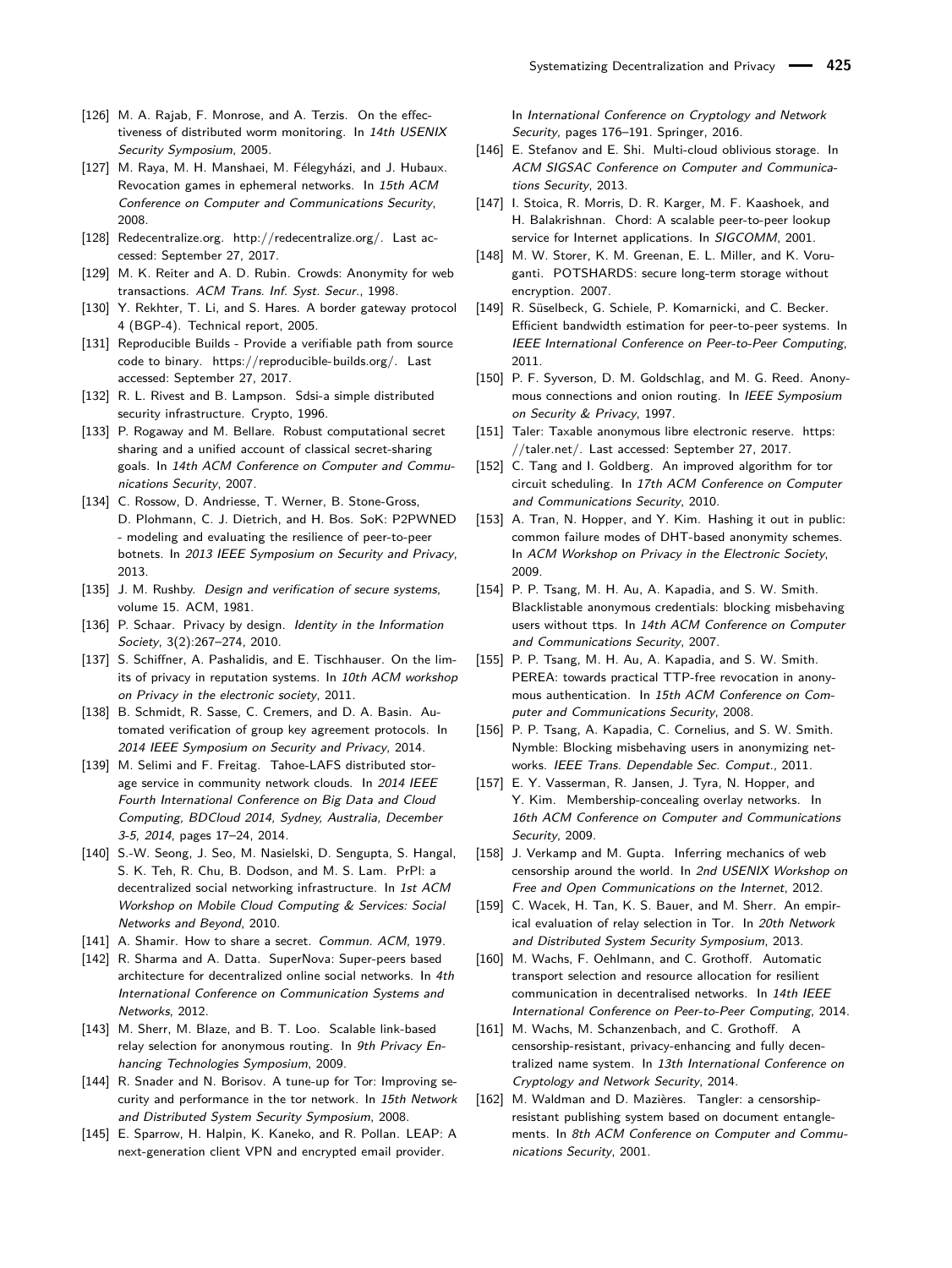- <span id="page-21-27"></span>[126] M. A. Rajab, F. Monrose, and A. Terzis. On the effectiveness of distributed worm monitoring. In 14th USENIX Security Symposium, 2005.
- <span id="page-21-21"></span>[127] M. Raya, M. H. Manshaei, M. Félegyházi, and J. Hubaux. Revocation games in ephemeral networks. In 15th ACM Conference on Computer and Communications Security, 2008.
- <span id="page-21-0"></span>[128] Redecentralize.org. [http://redecentralize.org/.](http://redecentralize.org/) Last accessed: September 27, 2017.
- <span id="page-21-15"></span>[129] M. K. Reiter and A. D. Rubin. Crowds: Anonymity for web transactions. ACM Trans. Inf. Syst. Secur., 1998.
- <span id="page-21-3"></span>[130] Y. Rekhter, T. Li, and S. Hares. A border gateway protocol 4 (BGP-4). Technical report, 2005.
- <span id="page-21-36"></span>[131] Reproducible Builds - Provide a verifiable path from source code to binary. [https://reproducible-builds.org/.](https://reproducible-builds.org/) Last accessed: September 27, 2017.
- <span id="page-21-30"></span>[132] R. L. Rivest and B. Lampson. Sdsi-a simple distributed security infrastructure. Crypto, 1996.
- <span id="page-21-7"></span>[133] P. Rogaway and M. Bellare. Robust computational secret sharing and a unified account of classical secret-sharing goals. In 14th ACM Conference on Computer and Communications Security, 2007.
- <span id="page-21-10"></span>[134] C. Rossow, D. Andriesse, T. Werner, B. Stone-Gross, D. Plohmann, C. J. Dietrich, and H. Bos. SoK: P2PWNED - modeling and evaluating the resilience of peer-to-peer botnets. In 2013 IEEE Symposium on Security and Privacy, 2013.
- <span id="page-21-1"></span>[135] J. M. Rushby. Design and verification of secure systems, volume 15. ACM, 1981.
- <span id="page-21-11"></span>[136] P. Schaar. Privacy by design. Identity in the Information Society, 3(2):267–274, 2010.
- <span id="page-21-22"></span>[137] S. Schiffner, A. Pashalidis, and E. Tischhauser. On the limits of privacy in reputation systems. In 10th ACM workshop on Privacy in the electronic society, 2011.
- <span id="page-21-5"></span>[138] B. Schmidt, R. Sasse, C. Cremers, and D. A. Basin. Automated verification of group key agreement protocols. In 2014 IEEE Symposium on Security and Privacy, 2014.
- <span id="page-21-2"></span>[139] M. Selimi and F. Freitag. Tahoe-LAFS distributed storage service in community network clouds. In 2014 IEEE Fourth International Conference on Big Data and Cloud Computing, BDCloud 2014, Sydney, Australia, December 3-5, 2014, pages 17–24, 2014.
- <span id="page-21-31"></span>[140] S.-W. Seong, J. Seo, M. Nasielski, D. Sengupta, S. Hangal, S. K. Teh, R. Chu, B. Dodson, and M. S. Lam. PrPl: a decentralized social networking infrastructure. In 1st ACM Workshop on Mobile Cloud Computing & Services: Social Networks and Beyond, 2010.
- <span id="page-21-8"></span>[141] A. Shamir. How to share a secret. Commun. ACM, 1979.
- <span id="page-21-29"></span>[142] R. Sharma and A. Datta. SuperNova: Super-peers based architecture for decentralized online social networks. In 4th International Conference on Communication Systems and Networks, 2012.
- <span id="page-21-25"></span>[143] M. Sherr, M. Blaze, and B. T. Loo. Scalable link-based relay selection for anonymous routing. In 9th Privacy Enhancing Technologies Symposium, 2009.
- <span id="page-21-20"></span>[144] R. Snader and N. Borisov. A tune-up for Tor: Improving security and performance in the tor network. In 15th Network and Distributed System Security Symposium, 2008.
- <span id="page-21-6"></span>[145] E. Sparrow, H. Halpin, K. Kaneko, and R. Pollan. LEAP: A next-generation client VPN and encrypted email provider.

In International Conference on Cryptology and Network Security, pages 176–191. Springer, 2016.

- <span id="page-21-9"></span>[146] E. Stefanov and E. Shi. Multi-cloud oblivious storage. In ACM SIGSAC Conference on Computer and Communications Security, 2013.
- <span id="page-21-28"></span>[147] I. Stoica, R. Morris, D. R. Karger, M. F. Kaashoek, and H. Balakrishnan. Chord: A scalable peer-to-peer lookup service for Internet applications. In SIGCOMM, 2001.
- <span id="page-21-12"></span>[148] M. W. Storer, K. M. Greenan, E. L. Miller, and K. Voruganti. POTSHARDS: secure long-term storage without encryption. 2007.
- <span id="page-21-18"></span>[149] R. Süselbeck, G. Schiele, P. Komarnicki, and C. Becker. Efficient bandwidth estimation for peer-to-peer systems. In IEEE International Conference on Peer-to-Peer Computing, 2011.
- <span id="page-21-16"></span>[150] P. F. Syverson, D. M. Goldschlag, and M. G. Reed. Anonymous connections and onion routing. In IEEE Symposium on Security & Privacy, 1997.
- <span id="page-21-35"></span>[151] Taler: Taxable anonymous libre electronic reserve. [https:](https://taler.net/) [//taler.net/.](https://taler.net/) Last accessed: September 27, 2017.
- <span id="page-21-19"></span>[152] C. Tang and I. Goldberg. An improved algorithm for tor circuit scheduling. In 17th ACM Conference on Computer and Communications Security, 2010.
- <span id="page-21-4"></span>[153] A. Tran, N. Hopper, and Y. Kim. Hashing it out in public: common failure modes of DHT-based anonymity schemes. In ACM Workshop on Privacy in the Electronic Society, 2009.
- <span id="page-21-32"></span>[154] P. P. Tsang, M. H. Au, A. Kapadia, and S. W. Smith. Blacklistable anonymous credentials: blocking misbehaving users without ttps. In 14th ACM Conference on Computer and Communications Security, 2007.
- <span id="page-21-33"></span>[155] P. P. Tsang, M. H. Au, A. Kapadia, and S. W. Smith. PEREA: towards practical TTP-free revocation in anonymous authentication. In 15th ACM Conference on Computer and Communications Security, 2008.
- <span id="page-21-34"></span>[156] P. P. Tsang, A. Kapadia, C. Cornelius, and S. W. Smith. Nymble: Blocking misbehaving users in anonymizing networks. IEEE Trans. Dependable Sec. Comput., 2011.
- <span id="page-21-14"></span>[157] E. Y. Vasserman, R. Jansen, J. Tyra, N. Hopper, and Y. Kim. Membership-concealing overlay networks. In 16th ACM Conference on Computer and Communications Security, 2009.
- <span id="page-21-23"></span>[158] J. Verkamp and M. Gupta. Inferring mechanics of web censorship around the world. In 2nd USENIX Workshop on Free and Open Communications on the Internet, 2012.
- <span id="page-21-26"></span>[159] C. Wacek, H. Tan, K. S. Bauer, and M. Sherr. An empirical evaluation of relay selection in Tor. In 20th Network and Distributed System Security Symposium, 2013.
- <span id="page-21-17"></span>[160] M. Wachs, F. Oehlmann, and C. Grothoff. Automatic transport selection and resource allocation for resilient communication in decentralised networks. In 14th IEEE International Conference on Peer-to-Peer Computing, 2014.
- <span id="page-21-24"></span>[161] M. Wachs, M. Schanzenbach, and C. Grothoff. A censorship-resistant, privacy-enhancing and fully decentralized name system. In 13th International Conference on Cryptology and Network Security, 2014.
- <span id="page-21-13"></span>[162] M. Waldman and D. Mazières. Tangler: a censorshipresistant publishing system based on document entanglements. In 8th ACM Conference on Computer and Communications Security, 2001.